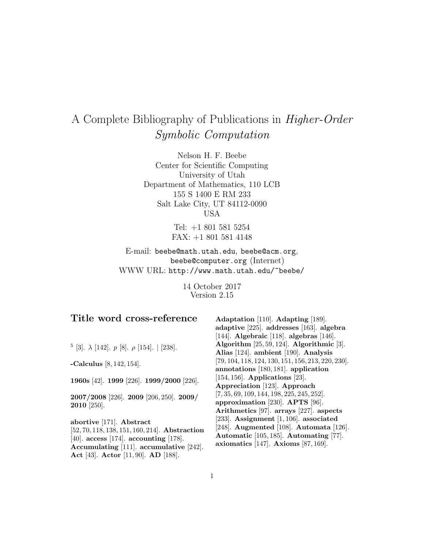# A Complete Bibliography of Publications in Higher-Order Symbolic Computation

Nelson H. F. Beebe Center for Scientific Computing University of Utah Department of Mathematics, 110 LCB 155 S 1400 E RM 233 Salt Lake City, UT 84112-0090 USA

> Tel: +1 801 581 5254 FAX: +1 801 581 4148

E-mail: beebe@math.utah.edu, beebe@acm.org, beebe@computer.org (Internet) WWW URL: http://www.math.utah.edu/~beebe/

> 14 October 2017 Version 2.15

# **Title word cross-reference**

<sup>5</sup> [3].  $\lambda$  [142]. *p* [8]. *ρ* [154]. | [238].

**-Calculus** [8, 142, 154].

**1960s** [42]. **1999** [226]. **1999/2000** [226].

**2007/2008** [226]. **2009** [206, 250]. **2009/ 2010** [250].

**abortive** [171]. **Abstract** [52, 70, 118, 138, 151, 160, 214]. **Abstraction** [40]. **access** [174]. **accounting** [178]. **Accumulating** [111]. **accumulative** [242]. **Act** [43]. **Actor** [11, 90]. **AD** [188].

**Adaptation** [110]. **Adapting** [189]. **adaptive** [225]. **addresses** [163]. **algebra** [144]. **Algebraic** [118]. **algebras** [146]. **Algorithm** [25, 59, 124]. **Algorithmic** [3]. **Alias** [124]. **ambient** [190]. **Analysis** [79, 104, 118, 124, 130, 151, 156, 213, 220, 230]. **annotations** [180, 181]. **application** [154, 156]. **Applications** [23]. **Appreciation** [123]. **Approach** [7, 35, 69, 109, 144, 198, 225, 245, 252]. **approximation** [230]. **APTS** [96]. **Arithmetics** [97]. **arrays** [227]. **aspects** [233]. **Assignment** [1, 106]. **associated** [248]. **Augmented** [108]. **Automata** [126]. **Automatic** [105, 185]. **Automating** [77]. **axiomatics** [147]. **Axioms** [87, 169].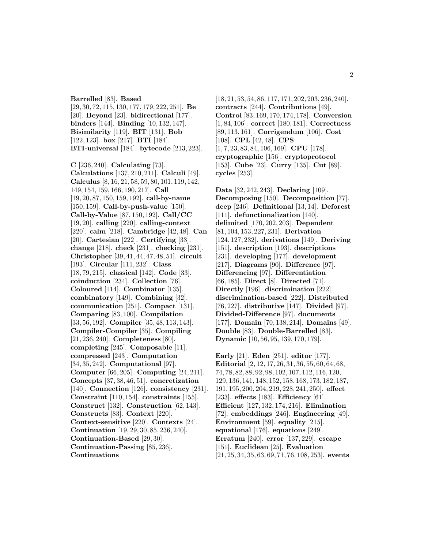**Barrelled** [83]. **Based** [29, 30, 72, 115, 130, 177, 179, 222, 251]. **Be** [20]. **Beyond** [23]. **bidirectional** [177]. **binders** [144]. **Binding** [10, 132, 147]. **Bisimilarity** [119]. **BIT** [131]. **Bob** [122, 123]. **box** [217]. **BTI** [184]. **BTI-universal** [184]. **bytecode** [213, 223].

**C** [236, 240]. **Calculating** [73]. **Calculations** [137, 210, 211]. **Calculi** [49]. **Calculus** [8, 16, 21, 58, 59, 80, 101, 119, 142, 149, 154, 159, 166, 190, 217]. **Call** [19, 20, 87, 150, 159, 192]. **call-by-name** [150, 159]. **Call-by-push-value** [150]. **Call-by-Value** [87, 150, 192]. **Call/CC** [19, 20]. **calling** [220]. **calling-context** [220]. **calm** [218]. **Cambridge** [42, 48]. **Can** [20]. **Cartesian** [222]. **Certifying** [33]. **change** [218]. **check** [231]. **checking** [231]. **Christopher** [39, 41, 44, 47, 48, 51]. **circuit** [193]. **Circular** [111, 232]. **Class** [18, 79, 215]. **classical** [142]. **Code** [33]. **coinduction** [234]. **Collection** [76]. **Coloured** [114]. **Combinator** [135]. **combinatory** [149]. **Combining** [32]. **communication** [251]. **Compact** [131]. **Comparing** [83, 100]. **Compilation** [33, 56, 192]. **Compiler** [35, 48, 113, 143]. **Compiler-Compiler** [35]. **Compiling** [21, 236, 240]. **Completeness** [80]. **completing** [245]. **Composable** [11]. **compressed** [243]. **Computation** [34, 35, 242]. **Computational** [97]. **Computer** [66, 205]. **Computing** [24, 211]. **Concepts** [37, 38, 46, 51]. **concretization** [140]. **Connection** [126]. **consistency** [231]. **Constraint** [110, 154]. **constraints** [155]. **Construct** [132]. **Construction** [62, 143]. **Constructs** [83]. **Context** [220]. **Context-sensitive** [220]. **Contexts** [24]. **Continuation** [19, 29, 30, 85, 236, 240]. **Continuation-Based** [29, 30]. **Continuation-Passing** [85, 236]. **Continuations**

[18, 21, 53, 54, 86, 117, 171, 202, 203, 236, 240]. **contracts** [244]. **Contributions** [49]. **Control** [83, 169, 170, 174, 178]. **Conversion** [1, 84, 106]. **correct** [180, 181]. **Correctness** [89, 113, 161]. **Corrigendum** [106]. **Cost** [108]. **CPL** [42, 48]. **CPS** [1, 7, 23, 83, 84, 106, 169]. **CPU** [178]. **cryptographic** [156]. **cryptoprotocol** [153]. **Cube** [23]. **Curry** [135]. **Cut** [89]. **cycles** [253].

**Data** [32, 242, 243]. **Declaring** [109]. **Decomposing** [150]. **Decomposition** [77]. **deep** [246]. **Definitional** [13, 14]. **Deforest** [111]. **defunctionalization** [140]. **delimited** [170, 202, 203]. **Dependent** [81, 104, 153, 227, 231]. **Derivation** [124, 127, 232]. **derivations** [149]. **Deriving** [151]. **description** [193]. **descriptions** [231]. **developing** [177]. **development** [217]. **Diagrams** [90]. **Difference** [97]. **Differencing** [97]. **Differentiation** [66, 185]. **Direct** [8]. **Directed** [71]. **Directly** [196]. **discrimination** [222]. **discrimination-based** [222]. **Distributed** [76, 227]. **distributive** [147]. **Divided** [97]. **Divided-Difference** [97]. **documents** [177]. **Domain** [70, 138, 214]. **Domains** [49]. **Double** [83]. **Double-Barrelled** [83]. **Dynamic** [10, 56, 95, 139, 170, 179].

**Early** [21]. **Eden** [251]. **editor** [177]. **Editorial** [2, 12, 17, 26, 31, 36, 55, 60, 64, 68, 74, 78, 82, 88, 92, 98, 102, 107, 112, 116, 120, 129, 136, 141, 148, 152, 158, 168, 173, 182, 187, 191, 195, 200, 204, 219, 228, 241, 250]. **effect** [233]. **effects** [183]. **Efficiency** [61]. **Efficient** [127, 132, 174, 216]. **Elimination** [72]. **embeddings** [246]. **Engineering** [49]. **Environment** [59]. **equality** [215]. **equational** [176]. **equations** [249]. **Erratum** [240]. **error** [137, 229]. **escape** [151]. **Euclidean** [25]. **Evaluation** [21, 25, 34, 35, 63, 69, 71, 76, 108, 253]. **events**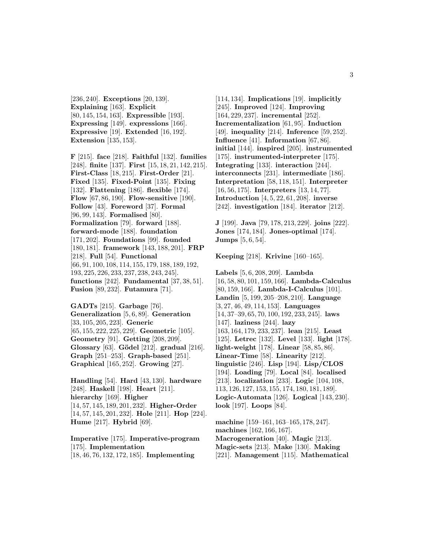[236, 240]. **Exceptions** [20, 139]. **Explaining** [163]. **Explicit** [80, 145, 154, 163]. **Expressible** [193]. **Expressing** [149]. **expressions** [166]. **Expressive** [19]. **Extended** [16, 192]. **Extension** [135, 153].

**F** [215]. **face** [218]. **Faithful** [132]. **families** [248]. **finite** [137]. **First** [15, 18, 21, 142, 215]. **First-Class** [18, 215]. **First-Order** [21]. **Fixed** [135]. **Fixed-Point** [135]. **Fixing** [132]. **Flattening** [186]. **flexible** [174]. **Flow** [67, 86, 190]. **Flow-sensitive** [190]. **Follow** [43]. **Foreword** [37]. **Formal** [96, 99, 143]. **Formalised** [80]. **Formalization** [79]. **forward** [188]. **forward-mode** [188]. **foundation** [171, 202]. **Foundations** [99]. **founded** [180, 181]. **framework** [143, 188, 201]. **FRP** [218]. **Full** [54]. **Functional** [66, 91, 100, 108, 114, 155, 179, 188, 189, 192, 193, 225, 226, 233, 237, 238, 243, 245]. **functions** [242]. **Fundamental** [37, 38, 51]. **Fusion** [89, 232]. **Futamura** [71].

**GADTs** [215]. **Garbage** [76]. **Generalization** [5, 6, 89]. **Generation** [33, 105, 205, 223]. **Generic** [65, 155, 222, 225, 229]. **Geometric** [105]. **Geometry** [91]. **Getting** [208, 209]. **Glossary** [63]. **G¨odel** [212]. **gradual** [216]. **Graph** [251–253]. **Graph-based** [251]. **Graphical** [165, 252]. **Growing** [27].

**Handling** [54]. **Hard** [43, 130]. **hardware** [248]. **Haskell** [198]. **Heart** [211]. **hierarchy** [169]. **Higher** [14, 57, 145, 189, 201, 232]. **Higher-Order** [14, 57, 145, 201, 232]. **Hole** [211]. **Hop** [224]. **Hume** [217]. **Hybrid** [69].

**Imperative** [175]. **Imperative-program** [175]. **Implementation** [18, 46, 76, 132, 172, 185]. **Implementing**

[114, 134]. **Implications** [19]. **implicitly** [245]. **Improved** [124]. **Improving** [164, 229, 237]. **incremental** [252]. **Incrementalization** [61, 95]. **Induction** [49]. **inequality** [214]. **Inference** [59, 252]. **Influence** [41]. **Information** [67, 86]. **initial** [144]. **inspired** [205]. **instrumented** [175]. **instrumented-interpreter** [175]. **Integrating** [133]. **interaction** [244]. **interconnects** [231]. **intermediate** [186]. **Interpretation** [58, 118, 151]. **Interpreter** [16, 56, 175]. **Interpreters** [13, 14, 77]. **Introduction** [4, 5, 22, 61, 208]. **inverse** [242]. **investigation** [184]. **iterator** [212].

**J** [199]. **Java** [79, 178, 213, 229]. **joins** [222]. **Jones** [174, 184]. **Jones-optimal** [174]. **Jumps** [5, 6, 54].

**Keeping** [218]. **Krivine** [160–165].

**Labels** [5, 6, 208, 209]. **Lambda** [16, 58, 80, 101, 159, 166]. **Lambda-Calculus** [80, 159, 166]. **Lambda-I-Calculus** [101]. **Landin** [5, 199, 205–208, 210]. **Language** [3, 27, 46, 49, 114, 153]. **Languages** [14, 37–39, 65, 70, 100, 192, 233, 245]. **laws** [147]. **laziness** [244]. **lazy** [163, 164, 179, 233, 237]. **lean** [215]. **Least** [125]. **Letrec** [132]. **Level** [133]. **light** [178]. **light-weight** [178]. **Linear** [58, 85, 86]. **Linear-Time** [58]. **Linearity** [212]. **linguistic** [246]. **Lisp** [194]. **Lisp/CLOS** [194]. **Loading** [79]. **Local** [84]. **localised** [213]. **localization** [233]. **Logic** [104, 108, 113, 126, 127, 153, 155, 174, 180, 181, 189]. **Logic-Automata** [126]. **Logical** [143, 230]. **look** [197]. **Loops** [84].

**machine** [159–161, 163–165, 178, 247]. **machines** [162, 166, 167]. **Macrogeneration** [40]. **Magic** [213]. **Magic-sets** [213]. **Make** [130]. **Making** [221]. **Management** [115]. **Mathematical**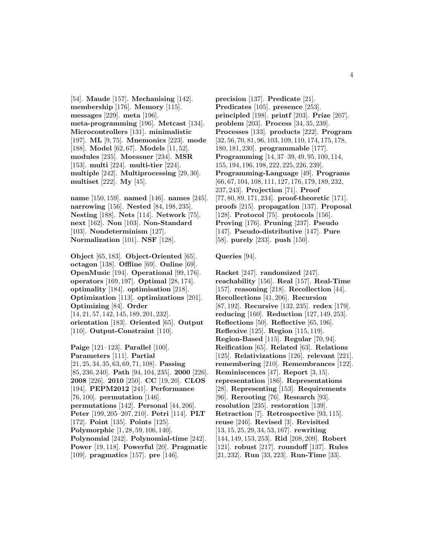[54]. **Maude** [157]. **Mechanising** [142]. **membership** [176]. **Memory** [115]. **messages** [229]. **meta** [196]. **meta-programming** [196]. **Metcast** [134]. **Microcontrollers** [131]. **minimalistic** [197]. **ML** [9, 75]. **Mnemonics** [223]. **mode** [188]. **Model** [62, 67]. **Models** [11, 52]. **modules** [235]. **Moessner** [234]. **MSR** [153]. **multi** [224]. **multi-tier** [224]. **multiple** [242]. **Multiprocessing** [29, 30]. **multiset** [222]. **My** [45].

**name** [150, 159]. **named** [146]. **names** [245]. **narrowing** [156]. **Nested** [84, 198, 235]. **Nesting** [188]. **Nets** [114]. **Network** [75]. **next** [162]. **Non** [103]. **Non-Standard** [103]. **Nondeterminism** [127]. **Normalization** [101]. **NSF** [128].

**Object** [65, 183]. **Object-Oriented** [65]. **octagon** [138]. **Offline** [69]. **Online** [69]. **OpenMusic** [194]. **Operational** [99, 176]. **operators** [169, 197]. **Optimal** [28, 174]. **optimality** [184]. **optimisation** [218]. **Optimization** [113]. **optimizations** [201]. **Optimizing** [84]. **Order** [14, 21, 57, 142, 145, 189, 201, 232]. **orientation** [183]. **Oriented** [65]. **Output** [110]. **Output-Constraint** [110].

**Paige** [121–123]. **Parallel** [100]. **Parameters** [111]. **Partial** [21, 25, 34, 35, 63, 69, 71, 108]. **Passing** [85, 236, 240]. **Path** [94, 104, 235]. **2000** [226]. **2008** [226]. **2010** [250]. **CC** [19, 20]. **CLOS** [194]. **PEPM2012** [241]. **Performance** [76, 100]. **permutation** [146]. **permutations** [142]. **Personal** [44, 206]. **Peter** [199, 205–207, 210]. **Petri** [114]. **PLT** [172]. **Point** [135]. **Points** [125]. **Polymorphic** [1, 28, 59, 106, 140]. **Polynomial** [242]. **Polynomial-time** [242]. **Power** [19, 118]. **Powerful** [20]. **Pragmatic** [109]. **pragmatics** [157]. **pre** [146].

**precision** [137]. **Predicate** [21]. **Predicates** [105]. **presence** [253]. **principled** [198]. **printf** [203]. **Prize** [207]. **problem** [203]. **Process** [34, 35, 239]. **Processes** [133]. **products** [222]. **Program** [32, 56, 70, 81, 96, 103, 109, 110, 174, 175, 178, 180, 181, 230]. **programmable** [177]. **Programming** [14, 37–39, 49, 95, 100, 114, 155, 194, 196, 198, 222, 225, 226, 239]. **Programming-Language** [49]. **Programs** [66, 67, 104, 108, 111, 127, 176, 179, 189, 232, 237, 243]. **Projection** [71]. **Proof** [77, 80, 89, 171, 234]. **proof-theoretic** [171]. **proofs** [215]. **propagation** [137]. **Proposal** [128]. **Protocol** [75]. **protocols** [156]. **Proving** [176]. **Pruning** [237]. **Pseudo** [147]. **Pseudo-distributive** [147]. **Pure** [58]. **purely** [233]. **push** [150].

**Queries** [94].

**Racket** [247]. **randomized** [247]. **reachability** [156]. **Real** [157]. **Real-Time** [157]. **reasoning** [218]. **Recollection** [44]. **Recollections** [41, 206]. **Recursion** [87, 192]. **Recursive** [132, 235]. **redex** [179]. **reducing** [160]. **Reduction** [127, 149, 253]. **Reflections** [50]. **Reflective** [65, 196]. **Reflexive** [125]. **Region** [115, 119]. **Region-Based** [115]. **Regular** [70, 94]. **Reification** [65]. **Related** [63]. **Relations** [125]. **Relativizations** [126]. **relevant** [221]. **remembering** [210]. **Remembrances** [122]. **Reminiscences** [47]. **Report** [3, 15]. **representation** [186]. **Representations** [28]. **Representing** [153]. **Requirements** [96]. **Rerooting** [76]. **Research** [93]. **resolution** [235]. **restoration** [139]. **Retraction** [7]. **Retrospective** [93, 115]. **reuse** [246]. **Revised** [3]. **Revisited** [13, 15, 25, 29, 34, 53, 167]. **rewriting** [144, 149, 153, 253]. **Rid** [208, 209]. **Robert** [121]. **robust** [217]. **roundoff** [137]. **Rules** [21, 232]. **Run** [33, 223]. **Run-Time** [33].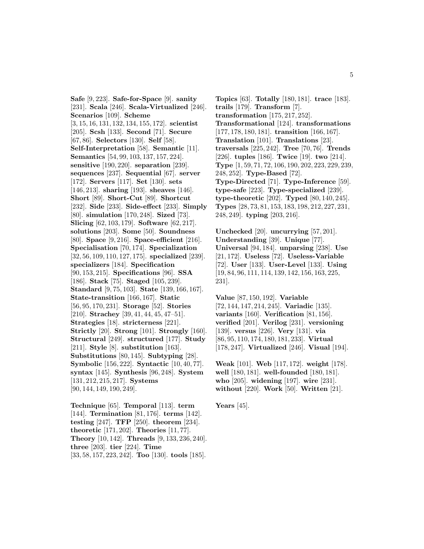**Safe** [9, 223]. **Safe-for-Space** [9]. **sanity** [231]. **Scala** [246]. **Scala-Virtualized** [246]. **Scenarios** [109]. **Scheme** [3, 15, 16, 131, 132, 134, 155, 172]. **scientist** [205]. **Scsh** [133]. **Second** [71]. **Secure** [67, 86]. **Selectors** [130]. **Self** [58]. **Self-Interpretation** [58]. **Semantic** [11]. **Semantics** [54, 99, 103, 137, 157, 224]. **sensitive** [190, 220]. **separation** [239]. **sequences** [237]. **Sequential** [67]. **server** [172]. **Servers** [117]. **Set** [130]. **sets** [146, 213]. **sharing** [193]. **sheaves** [146]. **Short** [89]. **Short-Cut** [89]. **Shortcut** [232]. **Side** [233]. **Side-effect** [233]. **Simply** [80]. **simulation** [170, 248]. **Sized** [73]. **Slicing** [62, 103, 179]. **Software** [62, 217]. **solutions** [203]. **Some** [50]. **Soundness** [80]. **Space** [9, 216]. **Space-efficient** [216]. **Specialisation** [70, 174]. **Specialization** [32, 56, 109, 110, 127, 175]. **specialized** [239]. **specializers** [184]. **Specification** [90, 153, 215]. **Specifications** [96]. **SSA** [186]. **Stack** [75]. **Staged** [105, 239]. **Standard** [9, 75, 103]. **State** [139, 166, 167]. **State-transition** [166, 167]. **Static** [56, 95, 170, 231]. **Storage** [52]. **Stories** [210]. **Strachey** [39, 41, 44, 45, 47–51]. **Strategies** [18]. **stricterness** [221]. **Strictly** [20]. **Strong** [101]. **Strongly** [160]. **Structural** [249]. **structured** [177]. **Study** [211]. **Style** [8]. **substitution** [163]. **Substitutions** [80, 145]. **Subtyping** [28]. **Symbolic** [156, 222]. **Syntactic** [10, 40, 77]. **syntax** [145]. **Synthesis** [96, 248]. **System** [131, 212, 215, 217]. **Systems** [90, 144, 149, 190, 249].

**Technique** [65]. **Temporal** [113]. **term** [144]. **Termination** [81, 176]. **terms** [142]. **testing** [247]. **TFP** [250]. **theorem** [234]. **theoretic** [171, 202]. **Theories** [11, 77]. **Theory** [10, 142]. **Threads** [9, 133, 236, 240]. **three** [203]. **tier** [224]. **Time** [33, 58, 157, 223, 242]. **Too** [130]. **tools** [185].

**Topics** [63]. **Totally** [180, 181]. **trace** [183]. **trails** [179]. **Transform** [7]. **transformation** [175, 217, 252]. **Transformational** [124]. **transformations** [177, 178, 180, 181]. **transition** [166, 167]. **Translation** [101]. **Translations** [23]. **traversals** [225, 242]. **Tree** [70, 76]. **Trends** [226]. **tuples** [186]. **Twice** [19]. **two** [214]. **Type** [1, 59, 71, 72, 106, 190, 202, 223, 229, 239, 248, 252]. **Type-Based** [72]. **Type-Directed** [71]. **Type-Inference** [59]. **type-safe** [223]. **Type-specialized** [239]. **type-theoretic** [202]. **Typed** [80, 140, 245]. **Types** [28, 73, 81, 153, 183, 198, 212, 227, 231, 248, 249]. **typing** [203, 216].

**Unchecked** [20]. **uncurrying** [57, 201]. **Understanding** [39]. **Unique** [77]. **Universal** [94, 184]. **unparsing** [238]. **Use** [21, 172]. **Useless** [72]. **Useless-Variable** [72]. **User** [133]. **User-Level** [133]. **Using** [19, 84, 96, 111, 114, 139, 142, 156, 163, 225, 231].

**Value** [87, 150, 192]. **Variable** [72, 144, 147, 214, 245]. **Variadic** [135]. **variants** [160]. **Verification** [81, 156]. **verified** [201]. **Verilog** [231]. **versioning** [139]. **versus** [226]. **Very** [131]. **via** [86, 95, 110, 174, 180, 181, 233]. **Virtual** [178, 247]. **Virtualized** [246]. **Visual** [194].

**Weak** [101]. **Web** [117, 172]. **weight** [178]. **well** [180, 181]. **well-founded** [180, 181]. **who** [205]. **widening** [197]. **wire** [231]. **without** [220]. **Work** [50]. **Written** [21].

**Years** [45].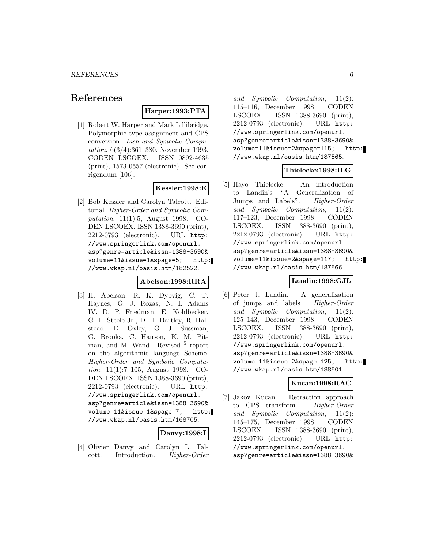# **References**

**Harper:1993:PTA**

[1] Robert W. Harper and Mark Lillibridge. Polymorphic type assignment and CPS conversion. Lisp and Symbolic Computation, 6(3/4):361–380, November 1993. CODEN LSCOEX. ISSN 0892-4635 (print), 1573-0557 (electronic). See corrigendum [106].

### **Kessler:1998:E**

[2] Bob Kessler and Carolyn Talcott. Editorial. Higher-Order and Symbolic Computation, 11(1):5, August 1998. CO-DEN LSCOEX. ISSN 1388-3690 (print), 2212-0793 (electronic). URL http: //www.springerlink.com/openurl. asp?genre=article&issn=1388-3690& volume=11&issue=1&spage=5; http: //www.wkap.nl/oasis.htm/182522.

#### **Abelson:1998:RRA**

[3] H. Abelson, R. K. Dybvig, C. T. Haynes, G. J. Rozas, N. I. Adams IV, D. P. Friedman, E. Kohlbecker, G. L. Steele Jr., D. H. Bartley, R. Halstead, D. Oxley, G. J. Sussman, G. Brooks, C. Hanson, K. M. Pitman, and M. Wand. Revised  $5$  report on the algorithmic language Scheme. Higher-Order and Symbolic Computation, 11(1):7–105, August 1998. CO-DEN LSCOEX. ISSN 1388-3690 (print), 2212-0793 (electronic). URL http: //www.springerlink.com/openurl. asp?genre=article&issn=1388-3690& volume=11&issue=1&spage=7; http: //www.wkap.nl/oasis.htm/168705.

# **Danvy:1998:I**

[4] Olivier Danvy and Carolyn L. Talcott. Introduction. Higher-Order and Symbolic Computation, 11(2): 115–116, December 1998. CODEN LSCOEX. ISSN 1388-3690 (print), 2212-0793 (electronic). URL http: //www.springerlink.com/openurl. asp?genre=article&issn=1388-3690& volume=11&issue=2&spage=115; http: //www.wkap.nl/oasis.htm/187565.

# **Thielecke:1998:ILG**

[5] Hayo Thielecke. An introduction to Landin's "A Generalization of Jumps and Labels". Higher-Order and Symbolic Computation, 11(2): 117–123, December 1998. CODEN LSCOEX. ISSN 1388-3690 (print), 2212-0793 (electronic). URL http: //www.springerlink.com/openurl. asp?genre=article&issn=1388-3690& volume=11&issue=2&spage=117; http: //www.wkap.nl/oasis.htm/187566.

#### **Landin:1998:GJL**

[6] Peter J. Landin. A generalization of jumps and labels. Higher-Order and Symbolic Computation, 11(2): 125–143, December 1998. CODEN LSCOEX. ISSN 1388-3690 (print), 2212-0793 (electronic). URL http: //www.springerlink.com/openurl. asp?genre=article&issn=1388-3690& volume=11&issue=2&spage=125; http: //www.wkap.nl/oasis.htm/188501.

#### **Kucan:1998:RAC**

[7] Jakov Kucan. Retraction approach to CPS transform. Higher-Order and Symbolic Computation, 11(2): 145–175, December 1998. CODEN LSCOEX. ISSN 1388-3690 (print), 2212-0793 (electronic). URL http: //www.springerlink.com/openurl. asp?genre=article&issn=1388-3690&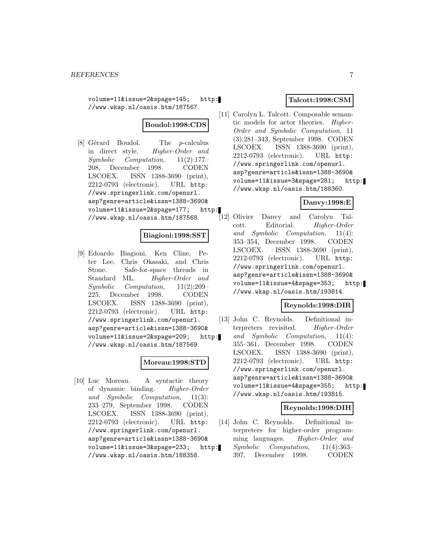volume=11&issue=2&spage=145; http: //www.wkap.nl/oasis.htm/187567.

# **Boudol:1998:CDS**

[8] Gérard Boudol. The  $p$ -calculus in direct style. Higher-Order and Symbolic Computation, 11(2):177– 208, December 1998. CODEN LSCOEX. ISSN 1388-3690 (print), 2212-0793 (electronic). URL http: //www.springerlink.com/openurl. asp?genre=article&issn=1388-3690& volume=11&issue=2&spage=177; http:<br>//www.wkap.nl/oasis.htm/187568. [12] Olivier //www.wkap.nl/oasis.htm/187568.

#### **Biagioni:1998:SST**

[9] Edoardo Biagioni, Ken Cline, Peter Lee, Chris Okasaki, and Chris Stone. Safe-for-space threads in Standard ML. Higher-Order and Symbolic Computation, 11(2):209– 225, December 1998. CODEN LSCOEX. ISSN 1388-3690 (print), 2212-0793 (electronic). URL http: //www.springerlink.com/openurl. asp?genre=article&issn=1388-3690& volume=11&issue=2&spage=209; http: //www.wkap.nl/oasis.htm/187569.

#### **Moreau:1998:STD**

[10] Luc Moreau. A syntactic theory of dynamic binding. Higher-Order and Symbolic Computation, 11(3): 233–279, September 1998. CODEN LSCOEX. ISSN 1388-3690 (print), 2212-0793 (electronic). URL http: //www.springerlink.com/openurl. asp?genre=article&issn=1388-3690& volume=11&issue=3&spage=233; http: //www.wkap.nl/oasis.htm/188358.

#### **Talcott:1998:CSM**

[11] Carolyn L. Talcott. Composable semantic models for actor theories. Higher-Order and Symbolic Computation, 11 (3):281–343, September 1998. CODEN LSCOEX. ISSN 1388-3690 (print), 2212-0793 (electronic). URL http: //www.springerlink.com/openurl. asp?genre=article&issn=1388-3690& volume=11&issue=3&spage=281; http: //www.wkap.nl/oasis.htm/188360.

### **Danvy:1998:E**

Danvy and Carolyn Talcott. Editorial. Higher-Order and Symbolic Computation, 11(4): 353–354, December 1998. CODEN LSCOEX. ISSN 1388-3690 (print), 2212-0793 (electronic). URL http: //www.springerlink.com/openurl. asp?genre=article&issn=1388-3690& volume=11&issue=4&spage=353; http: //www.wkap.nl/oasis.htm/193814.

#### **Reynolds:1998:DIR**

[13] John C. Reynolds. Definitional interpreters revisited. Higher-Order and Symbolic Computation, 11(4): 355–361, December 1998. CODEN LSCOEX. ISSN 1388-3690 (print), 2212-0793 (electronic). URL http: //www.springerlink.com/openurl. asp?genre=article&issn=1388-3690& volume=11&issue=4&spage=355; http: //www.wkap.nl/oasis.htm/193815.

#### **Reynolds:1998:DIH**

[14] John C. Reynolds. Definitional interpreters for higher-order programming languages. Higher-Order and Symbolic Computation, 11(4):363– 397, December 1998. CODEN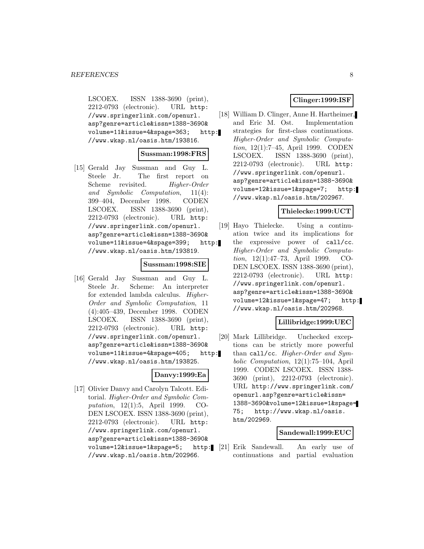LSCOEX. ISSN 1388-3690 (print), 2212-0793 (electronic). URL http: //www.springerlink.com/openurl. asp?genre=article&issn=1388-3690& volume=11&issue=4&spage=363; http: //www.wkap.nl/oasis.htm/193816.

#### **Sussman:1998:FRS**

[15] Gerald Jay Sussman and Guy L. Steele Jr. The first report on Scheme revisited. Higher-Order and Symbolic Computation, 11(4): 399–404, December 1998. CODEN LSCOEX. ISSN 1388-3690 (print), 2212-0793 (electronic). URL http: //www.springerlink.com/openurl. asp?genre=article&issn=1388-3690& volume=11&issue=4&spage=399; http: //www.wkap.nl/oasis.htm/193819.

#### **Sussman:1998:SIE**

[16] Gerald Jay Sussman and Guy L. Steele Jr. Scheme: An interpreter for extended lambda calculus. Higher-Order and Symbolic Computation, 11 (4):405–439, December 1998. CODEN LSCOEX. ISSN 1388-3690 (print), 2212-0793 (electronic). URL http: //www.springerlink.com/openurl. asp?genre=article&issn=1388-3690& volume=11&issue=4&spage=405; http: //www.wkap.nl/oasis.htm/193825.

#### **Danvy:1999:Ea**

[17] Olivier Danvy and Carolyn Talcott. Editorial. Higher-Order and Symbolic Computation, 12(1):5, April 1999. CO-DEN LSCOEX. ISSN 1388-3690 (print), 2212-0793 (electronic). URL http: //www.springerlink.com/openurl. asp?genre=article&issn=1388-3690& volume=12&issue=1&spage=5; //www.wkap.nl/oasis.htm/202966.

#### **Clinger:1999:ISF**

[18] William D. Clinger, Anne H. Hartheimer, and Eric M. Ost. Implementation strategies for first-class continuations. Higher-Order and Symbolic Computation, 12(1):7–45, April 1999. CODEN LSCOEX. ISSN 1388-3690 (print), 2212-0793 (electronic). URL http: //www.springerlink.com/openurl. asp?genre=article&issn=1388-3690& volume=12&issue=1&spage=7; http: //www.wkap.nl/oasis.htm/202967.

#### **Thielecke:1999:UCT**

[19] Hayo Thielecke. Using a continuation twice and its implications for the expressive power of call/cc. Higher-Order and Symbolic Computation, 12(1):47–73, April 1999. CO-DEN LSCOEX. ISSN 1388-3690 (print), 2212-0793 (electronic). URL http: //www.springerlink.com/openurl. asp?genre=article&issn=1388-3690& volume=12&issue=1&spage=47; http: //www.wkap.nl/oasis.htm/202968.

#### **Lillibridge:1999:UEC**

[20] Mark Lillibridge. Unchecked exceptions can be strictly more powerful than call/cc. Higher-Order and Symbolic Computation, 12(1):75–104, April 1999. CODEN LSCOEX. ISSN 1388- 3690 (print), 2212-0793 (electronic). URL http://www.springerlink.com/ openurl.asp?genre=article&issn= 1388-3690&volume=12&issue=1&spage= 75; http://www.wkap.nl/oasis. htm/202969.

#### **Sandewall:1999:EUC**

http: [21] Erik Sandewall. An early use of continuations and partial evaluation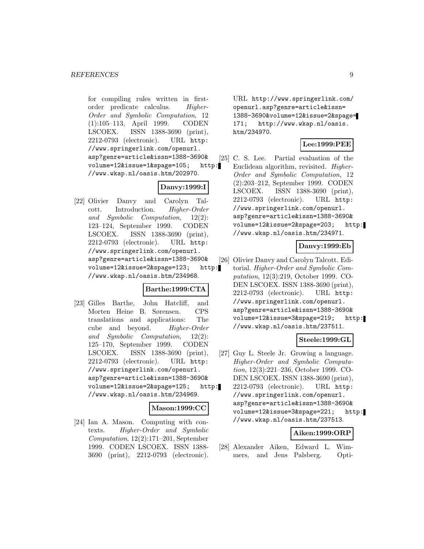for compiling rules written in firstorder predicate calculus. Higher-Order and Symbolic Computation, 12 (1):105–113, April 1999. CODEN LSCOEX. ISSN 1388-3690 (print), 2212-0793 (electronic). URL http: //www.springerlink.com/openurl. asp?genre=article&issn=1388-3690& volume=12&issue=1&spage=105; http: //www.wkap.nl/oasis.htm/202970.

# **Danvy:1999:I**

[22] Olivier Danvy and Carolyn Talcott. Introduction. Higher-Order and Symbolic Computation, 12(2): 123–124, September 1999. CODEN LSCOEX. ISSN 1388-3690 (print), 2212-0793 (electronic). URL http: //www.springerlink.com/openurl. asp?genre=article&issn=1388-3690& volume=12&issue=2&spage=123; http: //www.wkap.nl/oasis.htm/234968.

#### **Barthe:1999:CTA**

[23] Gilles Barthe, John Hatcliff, and Morten Heine B. Sørensen. CPS translations and applications: The cube and beyond. Higher-Order and Symbolic Computation, 12(2): 125–170, September 1999. CODEN LSCOEX. ISSN 1388-3690 (print), 2212-0793 (electronic). URL http: //www.springerlink.com/openurl. asp?genre=article&issn=1388-3690& volume=12&issue=2&spage=125; http: //www.wkap.nl/oasis.htm/234969.

#### **Mason:1999:CC**

[24] Ian A. Mason. Computing with contexts. Higher-Order and Symbolic Computation, 12(2):171–201, September 1999. CODEN LSCOEX. ISSN 1388- 3690 (print), 2212-0793 (electronic).

URL http://www.springerlink.com/ openurl.asp?genre=article&issn= 1388-3690&volume=12&issue=2&spage= 171; http://www.wkap.nl/oasis. htm/234970.

### **Lee:1999:PEE**

[25] C. S. Lee. Partial evaluation of the Euclidean algorithm, revisited. Higher-Order and Symbolic Computation, 12 (2):203–212, September 1999. CODEN LSCOEX. ISSN 1388-3690 (print), 2212-0793 (electronic). URL http: //www.springerlink.com/openurl. asp?genre=article&issn=1388-3690& volume=12&issue=2&spage=203; http: //www.wkap.nl/oasis.htm/234971.

### **Danvy:1999:Eb**

[26] Olivier Danvy and Carolyn Talcott. Editorial. Higher-Order and Symbolic Computation, 12(3):219, October 1999. CO-DEN LSCOEX. ISSN 1388-3690 (print), 2212-0793 (electronic). URL http: //www.springerlink.com/openurl. asp?genre=article&issn=1388-3690& volume=12&issue=3&spage=219; http: //www.wkap.nl/oasis.htm/237511.

# **Steele:1999:GL**

[27] Guy L. Steele Jr. Growing a language. Higher-Order and Symbolic Computation, 12(3):221–236, October 1999. CO-DEN LSCOEX. ISSN 1388-3690 (print), 2212-0793 (electronic). URL http: //www.springerlink.com/openurl. asp?genre=article&issn=1388-3690& volume=12&issue=3&spage=221; http: //www.wkap.nl/oasis.htm/237513.

#### **Aiken:1999:ORP**

[28] Alexander Aiken, Edward L. Wimmers, and Jens Palsberg. Opti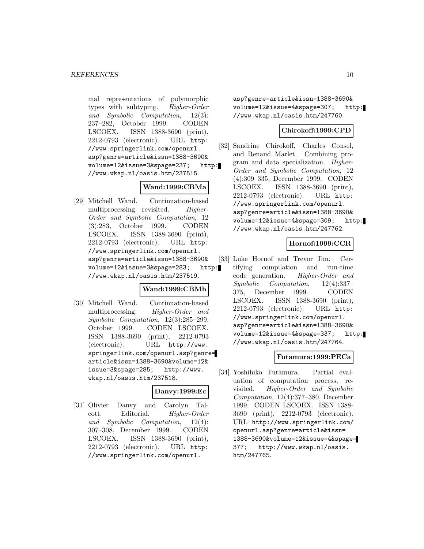mal representations of polymorphic types with subtyping. Higher-Order and Symbolic Computation, 12(3): 237–282, October 1999. CODEN LSCOEX. ISSN 1388-3690 (print), 2212-0793 (electronic). URL http: //www.springerlink.com/openurl. asp?genre=article&issn=1388-3690& volume=12&issue=3&spage=237; http: //www.wkap.nl/oasis.htm/237515.

### **Wand:1999:CBMa**

[29] Mitchell Wand. Continuation-based multiprocessing revisited. Higher-Order and Symbolic Computation, 12 (3):283, October 1999. CODEN LSCOEX. ISSN 1388-3690 (print), 2212-0793 (electronic). URL http: //www.springerlink.com/openurl. asp?genre=article&issn=1388-3690& volume=12&issue=3&spage=283; http: //www.wkap.nl/oasis.htm/237519.

# **Wand:1999:CBMb**

[30] Mitchell Wand. Continuation-based multiprocessing. Higher-Order and Symbolic Computation, 12(3):285–299, October 1999. CODEN LSCOEX. ISSN 1388-3690 (print), 2212-0793 (electronic). URL http://www. springerlink.com/openurl.asp?genre= article&issn=1388-3690&volume=12& issue=3&spage=285; http://www. wkap.nl/oasis.htm/237518.

#### **Danvy:1999:Ec**

[31] Olivier Danvy and Carolyn Talcott. Editorial. Higher-Order and Symbolic Computation, 12(4): 307–308, December 1999. CODEN LSCOEX. ISSN 1388-3690 (print), 2212-0793 (electronic). URL http: //www.springerlink.com/openurl.

asp?genre=article&issn=1388-3690& volume=12&issue=4&spage=307; http: //www.wkap.nl/oasis.htm/247760.

#### **Chirokoff:1999:CPD**

[32] Sandrine Chirokoff, Charles Consel, and Renaud Marlet. Combining program and data specialization. Higher-Order and Symbolic Computation, 12 (4):309–335, December 1999. CODEN LSCOEX. ISSN 1388-3690 (print), 2212-0793 (electronic). URL http: //www.springerlink.com/openurl. asp?genre=article&issn=1388-3690& volume=12&issue=4&spage=309; http: //www.wkap.nl/oasis.htm/247762.

# **Hornof:1999:CCR**

[33] Luke Hornof and Trevor Jim. Certifying compilation and run-time code generation. Higher-Order and Symbolic Computation, 12(4):337– 375, December 1999. CODEN LSCOEX. ISSN 1388-3690 (print), 2212-0793 (electronic). URL http: //www.springerlink.com/openurl. asp?genre=article&issn=1388-3690& volume=12&issue=4&spage=337; http: //www.wkap.nl/oasis.htm/247764.

# **Futamura:1999:PECa**

[34] Yoshihiko Futamura. Partial evaluation of computation process, revisited. Higher-Order and Symbolic Computation, 12(4):377–380, December 1999. CODEN LSCOEX. ISSN 1388- 3690 (print), 2212-0793 (electronic). URL http://www.springerlink.com/ openurl.asp?genre=article&issn= 1388-3690&volume=12&issue=4&spage= 377; http://www.wkap.nl/oasis. htm/247765.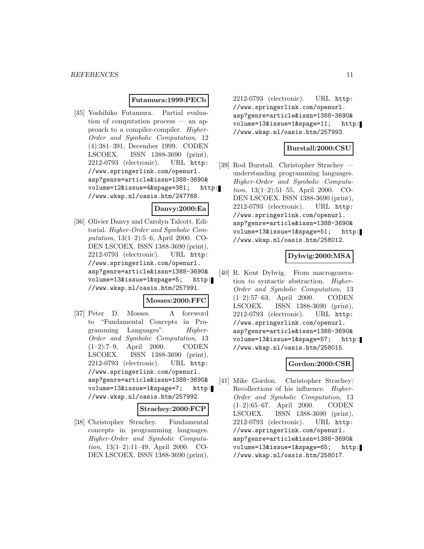#### **Futamura:1999:PECb**

[35] Yoshihiko Futamura. Partial evaluation of computation process — an approach to a compiler-compiler. Higher-Order and Symbolic Computation, 12 (4):381–391, December 1999. CODEN LSCOEX. ISSN 1388-3690 (print), 2212-0793 (electronic). URL http: //www.springerlink.com/openurl. asp?genre=article&issn=1388-3690& volume=12&issue=4&spage=381; http: //www.wkap.nl/oasis.htm/247768.

#### **Danvy:2000:Ea**

[36] Olivier Danvy and Carolyn Talcott. Editorial. Higher-Order and Symbolic Computation, 13(1–2):5–6, April 2000. CO-DEN LSCOEX. ISSN 1388-3690 (print), 2212-0793 (electronic). URL http: //www.springerlink.com/openurl. asp?genre=article&issn=1388-3690& volume=13&issue=1&spage=5; http: //www.wkap.nl/oasis.htm/257991.

#### **Mosses:2000:FFC**

[37] Peter D. Mosses. A foreword to "Fundamental Concepts in Programming Languages". Higher-Order and Symbolic Computation, 13 (1–2):7–9, April 2000. CODEN LSCOEX. ISSN 1388-3690 (print), 2212-0793 (electronic). URL http: //www.springerlink.com/openurl. asp?genre=article&issn=1388-3690& volume=13&issue=1&spage=7; http: //www.wkap.nl/oasis.htm/257992.

#### **Strachey:2000:FCP**

[38] Christopher Strachey. Fundamental concepts in programming languages. Higher-Order and Symbolic Computation, 13(1–2):11–49, April 2000. CO-DEN LSCOEX. ISSN 1388-3690 (print),

2212-0793 (electronic). URL http: //www.springerlink.com/openurl. asp?genre=article&issn=1388-3690& volume=13&issue=1&spage=11; http: //www.wkap.nl/oasis.htm/257993.

# **Burstall:2000:CSU**

[39] Rod Burstall. Christopher Strachey understanding programming languages. Higher-Order and Symbolic Computation, 13(1–2):51–55, April 2000. CO-DEN LSCOEX. ISSN 1388-3690 (print), 2212-0793 (electronic). URL http: //www.springerlink.com/openurl. asp?genre=article&issn=1388-3690& volume=13&issue=1&spage=51; http: //www.wkap.nl/oasis.htm/258012.

#### **Dybvig:2000:MSA**

[40] R. Kent Dybvig. From macrogeneration to syntactic abstraction. Higher-Order and Symbolic Computation, 13 (1–2):57–63, April 2000. CODEN LSCOEX. ISSN 1388-3690 (print), 2212-0793 (electronic). URL http: //www.springerlink.com/openurl. asp?genre=article&issn=1388-3690& volume=13&issue=1&spage=57; http: //www.wkap.nl/oasis.htm/258015.

#### **Gordon:2000:CSR**

[41] Mike Gordon. Christopher Strachey: Recollections of his influence. Higher-Order and Symbolic Computation, 13 (1–2):65–67, April 2000. CODEN LSCOEX. ISSN 1388-3690 (print), 2212-0793 (electronic). URL http: //www.springerlink.com/openurl. asp?genre=article&issn=1388-3690& volume=13&issue=1&spage=65; http: //www.wkap.nl/oasis.htm/258017.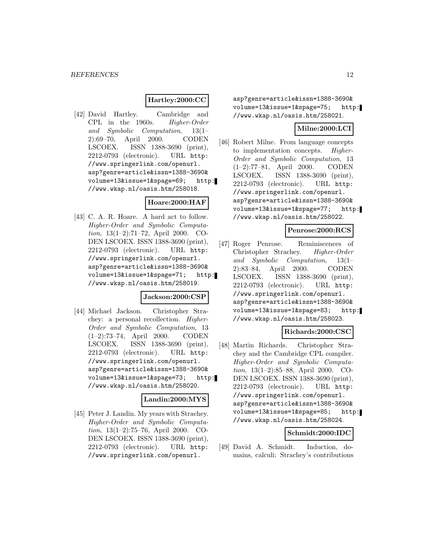# **Hartley:2000:CC**

[42] David Hartley. Cambridge and CPL in the 1960s. Higher-Order and Symbolic Computation, 13(1– 2):69–70, April 2000. CODEN LSCOEX. ISSN 1388-3690 (print), 2212-0793 (electronic). URL http: //www.springerlink.com/openurl. asp?genre=article&issn=1388-3690& volume=13&issue=1&spage=69; http: //www.wkap.nl/oasis.htm/258018.

# **Hoare:2000:HAF**

[43] C. A. R. Hoare. A hard act to follow. Higher-Order and Symbolic Computation, 13(1–2):71–72, April 2000. CO-DEN LSCOEX. ISSN 1388-3690 (print), 2212-0793 (electronic). URL http: //www.springerlink.com/openurl. asp?genre=article&issn=1388-3690& volume=13&issue=1&spage=71; http: //www.wkap.nl/oasis.htm/258019.

# **Jackson:2000:CSP**

[44] Michael Jackson. Christopher Strachey: a personal recollection. Higher-Order and Symbolic Computation, 13 (1–2):73–74, April 2000. CODEN LSCOEX. ISSN 1388-3690 (print), 2212-0793 (electronic). URL http: //www.springerlink.com/openurl. asp?genre=article&issn=1388-3690& volume=13&issue=1&spage=73; http: //www.wkap.nl/oasis.htm/258020.

# **Landin:2000:MYS**

[45] Peter J. Landin. My years with Strachey. Higher-Order and Symbolic Computation, 13(1–2):75–76, April 2000. CO-DEN LSCOEX. ISSN 1388-3690 (print), 2212-0793 (electronic). URL http: //www.springerlink.com/openurl.

asp?genre=article&issn=1388-3690& volume=13&issue=1&spage=75; http: //www.wkap.nl/oasis.htm/258021.

# **Milne:2000:LCI**

[46] Robert Milne. From language concepts to implementation concepts. Higher-Order and Symbolic Computation, 13 (1–2):77–81, April 2000. CODEN LSCOEX. ISSN 1388-3690 (print), 2212-0793 (electronic). URL http: //www.springerlink.com/openurl. asp?genre=article&issn=1388-3690& volume=13&issue=1&spage=77; http: //www.wkap.nl/oasis.htm/258022.

#### **Penrose:2000:RCS**

[47] Roger Penrose. Reminiscences of Christopher Strachey. Higher-Order and Symbolic Computation, 13(1– 2):83–84, April 2000. CODEN LSCOEX. ISSN 1388-3690 (print), 2212-0793 (electronic). URL http: //www.springerlink.com/openurl. asp?genre=article&issn=1388-3690& volume=13&issue=1&spage=83; http: //www.wkap.nl/oasis.htm/258023.

# **Richards:2000:CSC**

[48] Martin Richards. Christopher Strachey and the Cambridge CPL compiler. Higher-Order and Symbolic Computation, 13(1–2):85–88, April 2000. CO-DEN LSCOEX. ISSN 1388-3690 (print), 2212-0793 (electronic). URL http: //www.springerlink.com/openurl. asp?genre=article&issn=1388-3690& volume=13&issue=1&spage=85; http: //www.wkap.nl/oasis.htm/258024.

#### **Schmidt:2000:IDC**

[49] David A. Schmidt. Induction, domains, calculi: Strachey's contributions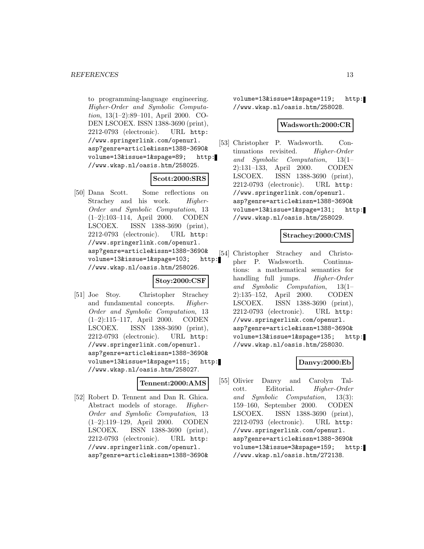to programming-language engineering. Higher-Order and Symbolic Computation, 13(1–2):89–101, April 2000. CO-DEN LSCOEX. ISSN 1388-3690 (print), 2212-0793 (electronic). URL http: //www.springerlink.com/openurl. asp?genre=article&issn=1388-3690& volume=13&issue=1&spage=89; http: //www.wkap.nl/oasis.htm/258025.

# **Scott:2000:SRS**

[50] Dana Scott. Some reflections on Strachey and his work. Higher-Order and Symbolic Computation, 13 (1–2):103–114, April 2000. CODEN LSCOEX. ISSN 1388-3690 (print), 2212-0793 (electronic). URL http: //www.springerlink.com/openurl. asp?genre=article&issn=1388-3690& volume=13&issue=1&spage=103; http: //www.wkap.nl/oasis.htm/258026.

#### **Stoy:2000:CSF**

[51] Joe Stoy. Christopher Strachey and fundamental concepts. Higher-Order and Symbolic Computation, 13 (1–2):115–117, April 2000. CODEN LSCOEX. ISSN 1388-3690 (print), 2212-0793 (electronic). URL http: //www.springerlink.com/openurl. asp?genre=article&issn=1388-3690& volume=13&issue=1&spage=115; http: //www.wkap.nl/oasis.htm/258027.

#### **Tennent:2000:AMS**

[52] Robert D. Tennent and Dan R. Ghica. Abstract models of storage. Higher-Order and Symbolic Computation, 13 (1–2):119–129, April 2000. CODEN LSCOEX. ISSN 1388-3690 (print), 2212-0793 (electronic). URL http: //www.springerlink.com/openurl. asp?genre=article&issn=1388-3690&

volume=13&issue=1&spage=119; http: //www.wkap.nl/oasis.htm/258028.

#### **Wadsworth:2000:CR**

[53] Christopher P. Wadsworth. Continuations revisited. Higher-Order and Symbolic Computation, 13(1– 2):131–133, April 2000. CODEN LSCOEX. ISSN 1388-3690 (print), 2212-0793 (electronic). URL http: //www.springerlink.com/openurl. asp?genre=article&issn=1388-3690& volume=13&issue=1&spage=131; http: //www.wkap.nl/oasis.htm/258029.

### **Strachey:2000:CMS**

[54] Christopher Strachey and Christopher P. Wadsworth. Continuations: a mathematical semantics for handling full jumps. Higher-Order and Symbolic Computation, 13(1– 2):135–152, April 2000. CODEN LSCOEX. ISSN 1388-3690 (print), 2212-0793 (electronic). URL http: //www.springerlink.com/openurl. asp?genre=article&issn=1388-3690& volume=13&issue=1&spage=135; http: //www.wkap.nl/oasis.htm/258030.

# **Danvy:2000:Eb**

[55] Olivier Danvy and Carolyn Talcott. Editorial. Higher-Order and Symbolic Computation, 13(3): 159–160, September 2000. CODEN LSCOEX. ISSN 1388-3690 (print), 2212-0793 (electronic). URL http: //www.springerlink.com/openurl. asp?genre=article&issn=1388-3690& volume=13&issue=3&spage=159; http: //www.wkap.nl/oasis.htm/272138.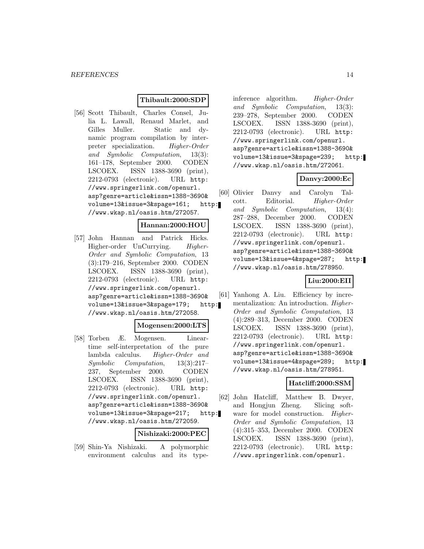### **Thibault:2000:SDP**

[56] Scott Thibault, Charles Consel, Julia L. Lawall, Renaud Marlet, and Gilles Muller. Static and dynamic program compilation by interpreter specialization. Higher-Order and Symbolic Computation, 13(3): 161–178, September 2000. CODEN LSCOEX. ISSN 1388-3690 (print), 2212-0793 (electronic). URL http: //www.springerlink.com/openurl. asp?genre=article&issn=1388-3690& volume=13&issue=3&spage=161; http: //www.wkap.nl/oasis.htm/272057.

#### **Hannan:2000:HOU**

[57] John Hannan and Patrick Hicks. Higher-order UnCurrying. Higher-Order and Symbolic Computation, 13 (3):179–216, September 2000. CODEN LSCOEX. ISSN 1388-3690 (print), 2212-0793 (electronic). URL http: //www.springerlink.com/openurl. asp?genre=article&issn=1388-3690& volume=13&issue=3&spage=179; http: //www.wkap.nl/oasis.htm/272058.

#### **Mogensen:2000:LTS**

[58] Torben Æ. Mogensen. Lineartime self-interpretation of the pure lambda calculus. Higher-Order and Symbolic Computation, 13(3):217– 237, September 2000. CODEN LSCOEX. ISSN 1388-3690 (print), 2212-0793 (electronic). URL http: //www.springerlink.com/openurl. asp?genre=article&issn=1388-3690& volume=13&issue=3&spage=217; http: //www.wkap.nl/oasis.htm/272059.

### **Nishizaki:2000:PEC**

[59] Shin-Ya Nishizaki. A polymorphic environment calculus and its typeinference algorithm. Higher-Order and Symbolic Computation, 13(3): 239–278, September 2000. CODEN LSCOEX. ISSN 1388-3690 (print), 2212-0793 (electronic). URL http: //www.springerlink.com/openurl. asp?genre=article&issn=1388-3690& volume=13&issue=3&spage=239; http: //www.wkap.nl/oasis.htm/272061.

#### **Danvy:2000:Ec**

[60] Olivier Danvy and Carolyn Talcott. Editorial. Higher-Order and Symbolic Computation, 13(4): 287–288, December 2000. CODEN LSCOEX. ISSN 1388-3690 (print), 2212-0793 (electronic). URL http: //www.springerlink.com/openurl. asp?genre=article&issn=1388-3690& volume=13&issue=4&spage=287; http: //www.wkap.nl/oasis.htm/278950.

# **Liu:2000:EII**

[61] Yanhong A. Liu. Efficiency by incrementalization: An introduction. *Higher-*Order and Symbolic Computation, 13 (4):289–313, December 2000. CODEN LSCOEX. ISSN 1388-3690 (print), 2212-0793 (electronic). URL http: //www.springerlink.com/openurl. asp?genre=article&issn=1388-3690& volume=13&issue=4&spage=289; http: //www.wkap.nl/oasis.htm/278951.

#### **Hatcliff:2000:SSM**

[62] John Hatcliff, Matthew B. Dwyer, and Hongjun Zheng. Slicing software for model construction. Higher-Order and Symbolic Computation, 13 (4):315–353, December 2000. CODEN LSCOEX. ISSN 1388-3690 (print), 2212-0793 (electronic). URL http: //www.springerlink.com/openurl.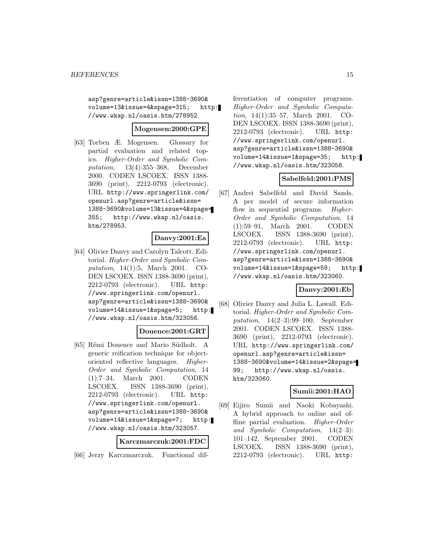asp?genre=article&issn=1388-3690& volume=13&issue=4&spage=315; http: //www.wkap.nl/oasis.htm/278952.

# **Mogensen:2000:GPE**

[63] Torben Æ. Mogensen. Glossary for partial evaluation and related topics. Higher-Order and Symbolic Computation, 13(4):355–368, December 2000. CODEN LSCOEX. ISSN 1388- 3690 (print), 2212-0793 (electronic). URL http://www.springerlink.com/ openurl.asp?genre=article&issn= 1388-3690&volume=13&issue=4&spage= 355; http://www.wkap.nl/oasis. htm/278953.

#### **Danvy:2001:Ea**

[64] Olivier Danvy and Carolyn Talcott. Editorial. Higher-Order and Symbolic Computation, 14(1):5, March 2001. CO-DEN LSCOEX. ISSN 1388-3690 (print), 2212-0793 (electronic). URL http: //www.springerlink.com/openurl. asp?genre=article&issn=1388-3690& volume=14&issue=1&spage=5; http: //www.wkap.nl/oasis.htm/323056.

#### **Douence:2001:GRT**

[65] Rémi Douence and Mario Südholt. A generic reification technique for objectoriented reflective languages. Higher-Order and Symbolic Computation, 14 (1):7–34, March 2001. CODEN LSCOEX. ISSN 1388-3690 (print), 2212-0793 (electronic). URL http: //www.springerlink.com/openurl. asp?genre=article&issn=1388-3690& volume=14&issue=1&spage=7; http: //www.wkap.nl/oasis.htm/323057.

#### **Karczmarczuk:2001:FDC**

[66] Jerzy Karczmarczuk. Functional dif-

ferentiation of computer programs. Higher-Order and Symbolic Computation, 14(1):35–57, March 2001. CO-DEN LSCOEX. ISSN 1388-3690 (print), 2212-0793 (electronic). URL http: //www.springerlink.com/openurl. asp?genre=article&issn=1388-3690& volume=14&issue=1&spage=35; http: //www.wkap.nl/oasis.htm/323058.

#### **Sabelfeld:2001:PMS**

[67] Andrei Sabelfeld and David Sands. A per model of secure information flow in sequential programs. Higher-Order and Symbolic Computation, 14 (1):59–91, March 2001. CODEN LSCOEX. ISSN 1388-3690 (print), 2212-0793 (electronic). URL http: //www.springerlink.com/openurl. asp?genre=article&issn=1388-3690& volume=14&issue=1&spage=59; http: //www.wkap.nl/oasis.htm/323060.

# **Danvy:2001:Eb**

[68] Olivier Danvy and Julia L. Lawall. Editorial. Higher-Order and Symbolic Computation, 14(2–3):99–100, September 2001. CODEN LSCOEX. ISSN 1388- 3690 (print), 2212-0793 (electronic). URL http://www.springerlink.com/ openurl.asp?genre=article&issn= 1388-3690&volume=14&issue=2&spage= 99; http://www.wkap.nl/oasis. htm/323060.

#### **Sumii:2001:HAO**

[69] Eijiro Sumii and Naoki Kobayashi. A hybrid approach to online and offline partial evaluation. Higher-Order and Symbolic Computation, 14(2–3): 101–142, September 2001. CODEN LSCOEX. ISSN 1388-3690 (print), 2212-0793 (electronic). URL http: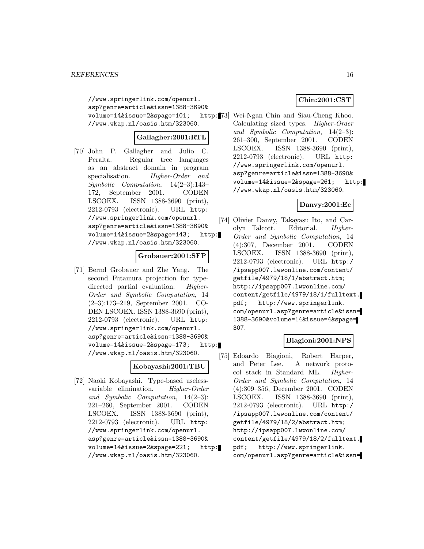//www.springerlink.com/openurl. asp?genre=article&issn=1388-3690&  $volume=14\&issue=2\&spage=101;$ //www.wkap.nl/oasis.htm/323060.

# **Gallagher:2001:RTL**

[70] John P. Gallagher and Julio C. Peralta. Regular tree languages as an abstract domain in program specialisation. Higher-Order and Symbolic Computation, 14(2–3):143– 172, September 2001. CODEN LSCOEX. ISSN 1388-3690 (print), 2212-0793 (electronic). URL http: //www.springerlink.com/openurl. asp?genre=article&issn=1388-3690& volume=14&issue=2&spage=143; http: //www.wkap.nl/oasis.htm/323060.

#### **Grobauer:2001:SFP**

[71] Bernd Grobauer and Zhe Yang. The second Futamura projection for typedirected partial evaluation. Higher-Order and Symbolic Computation, 14 (2–3):173–219, September 2001. CO-DEN LSCOEX. ISSN 1388-3690 (print), 2212-0793 (electronic). URL http: //www.springerlink.com/openurl. asp?genre=article&issn=1388-3690& volume=14&issue=2&spage=173; http: //www.wkap.nl/oasis.htm/323060.

# **Kobayashi:2001:TBU**

[72] Naoki Kobayashi. Type-based uselessvariable elimination. Higher-Order and Symbolic Computation, 14(2–3): 221–260, September 2001. CODEN LSCOEX. ISSN 1388-3690 (print), 2212-0793 (electronic). URL http: //www.springerlink.com/openurl. asp?genre=article&issn=1388-3690& volume=14&issue=2&spage=221; http: //www.wkap.nl/oasis.htm/323060.

# **Chin:2001:CST**

http: [73] Wei-Ngan Chin and Siau-Cheng Khoo. Calculating sized types. Higher-Order and Symbolic Computation, 14(2–3): 261–300, September 2001. CODEN LSCOEX. ISSN 1388-3690 (print), 2212-0793 (electronic). URL http: //www.springerlink.com/openurl. asp?genre=article&issn=1388-3690& volume=14&issue=2&spage=261; http: //www.wkap.nl/oasis.htm/323060.

# **Danvy:2001:Ec**

[74] Olivier Danvy, Takayasu Ito, and Carolyn Talcott. Editorial. Higher-Order and Symbolic Computation, 14 (4):307, December 2001. CODEN LSCOEX. ISSN 1388-3690 (print), 2212-0793 (electronic). URL http:/ /ipsapp007.lwwonline.com/content/ getfile/4979/18/1/abstract.htm; http://ipsapp007.lwwonline.com/ content/getfile/4979/18/1/fulltext. pdf; http://www.springerlink. com/openurl.asp?genre=article&issn= 1388-3690&volume=14&issue=4&spage= 307.

# **Biagioni:2001:NPS**

[75] Edoardo Biagioni, Robert Harper, and Peter Lee. A network protocol stack in Standard ML. Higher-Order and Symbolic Computation, 14 (4):309–356, December 2001. CODEN LSCOEX. ISSN 1388-3690 (print), 2212-0793 (electronic). URL http:/ /ipsapp007.lwwonline.com/content/ getfile/4979/18/2/abstract.htm; http://ipsapp007.lwwonline.com/ content/getfile/4979/18/2/fulltext. pdf; http://www.springerlink. com/openurl.asp?genre=article&issn=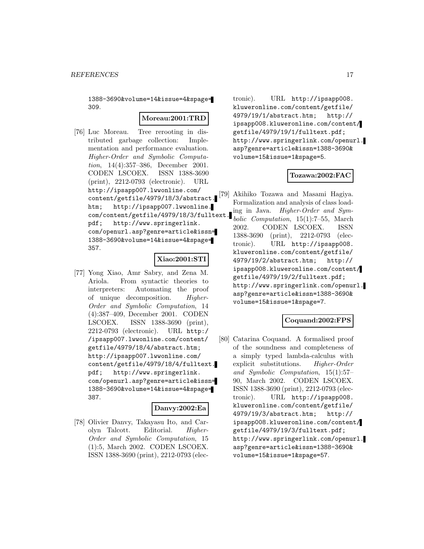1388-3690&volume=14&issue=4&spage= 309.

#### **Moreau:2001:TRD**

[76] Luc Moreau. Tree rerooting in distributed garbage collection: Implementation and performance evaluation. Higher-Order and Symbolic Computation, 14(4):357–386, December 2001. CODEN LSCOEX. ISSN 1388-3690 (print), 2212-0793 (electronic). URL http://ipsapp007.lwwonline.com/ content/getfile/4979/18/3/abstract. htm; http://ipsapp007.lwwonline. com/content/getfile/4979/18/3/fulltext. pdf; http://www.springerlink. com/openurl.asp?genre=article&issn= 1388-3690&volume=14&issue=4&spage= 357.

### **Xiao:2001:STI**

[77] Yong Xiao, Amr Sabry, and Zena M. Ariola. From syntactic theories to interpreters: Automating the proof of unique decomposition. Higher-Order and Symbolic Computation, 14 (4):387–409, December 2001. CODEN LSCOEX. ISSN 1388-3690 (print), 2212-0793 (electronic). URL http:/ /ipsapp007.lwwonline.com/content/ getfile/4979/18/4/abstract.htm; http://ipsapp007.lwwonline.com/ content/getfile/4979/18/4/fulltext. pdf; http://www.springerlink. com/openurl.asp?genre=article&issn= 1388-3690&volume=14&issue=4&spage= 387.

#### **Danvy:2002:Ea**

[78] Olivier Danvy, Takayasu Ito, and Carolyn Talcott. Editorial. Higher-Order and Symbolic Computation, 15 (1):5, March 2002. CODEN LSCOEX. ISSN 1388-3690 (print), 2212-0793 (electronic). URL http://ipsapp008. kluweronline.com/content/getfile/ 4979/19/1/abstract.htm; http:// ipsapp008.kluweronline.com/content/ getfile/4979/19/1/fulltext.pdf; http://www.springerlink.com/openurl. asp?genre=article&issn=1388-3690& volume=15&issue=1&spage=5.

### **Tozawa:2002:FAC**

[79] Akihiko Tozawa and Masami Hagiya. Formalization and analysis of class loading in Java. Higher-Order and Symbolic Computation, 15(1):7–55, March 2002. CODEN LSCOEX. ISSN 1388-3690 (print), 2212-0793 (electronic). URL http://ipsapp008. kluweronline.com/content/getfile/ 4979/19/2/abstract.htm; http:// ipsapp008.kluweronline.com/content/ getfile/4979/19/2/fulltext.pdf; http://www.springerlink.com/openurl. asp?genre=article&issn=1388-3690& volume=15&issue=1&spage=7.

# **Coquand:2002:FPS**

[80] Catarina Coquand. A formalised proof of the soundness and completeness of a simply typed lambda-calculus with explicit substitutions. Higher-Order and Symbolic Computation, 15(1):57– 90, March 2002. CODEN LSCOEX. ISSN 1388-3690 (print), 2212-0793 (electronic). URL http://ipsapp008. kluweronline.com/content/getfile/ 4979/19/3/abstract.htm; http:// ipsapp008.kluweronline.com/content/ getfile/4979/19/3/fulltext.pdf; http://www.springerlink.com/openurl. asp?genre=article&issn=1388-3690& volume=15&issue=1&spage=57.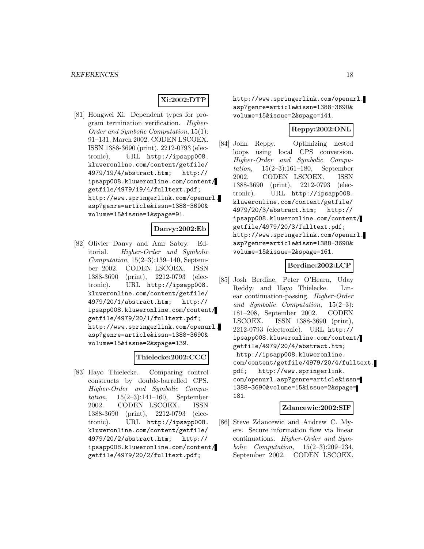#### **Xi:2002:DTP**

[81] Hongwei Xi. Dependent types for program termination verification. Higher-Order and Symbolic Computation, 15(1): 91–131, March 2002. CODEN LSCOEX. ISSN 1388-3690 (print), 2212-0793 (electronic). URL http://ipsapp008. kluweronline.com/content/getfile/ 4979/19/4/abstract.htm; http:// ipsapp008.kluweronline.com/content/ getfile/4979/19/4/fulltext.pdf; http://www.springerlink.com/openurl. asp?genre=article&issn=1388-3690& volume=15&issue=1&spage=91.

#### **Danvy:2002:Eb**

[82] Olivier Danvy and Amr Sabry. Editorial. Higher-Order and Symbolic Computation, 15(2–3):139–140, September 2002. CODEN LSCOEX. ISSN 1388-3690 (print), 2212-0793 (electronic). URL http://ipsapp008. kluweronline.com/content/getfile/ 4979/20/1/abstract.htm; http:// ipsapp008.kluweronline.com/content/ getfile/4979/20/1/fulltext.pdf; http://www.springerlink.com/openurl. asp?genre=article&issn=1388-3690& volume=15&issue=2&spage=139.

#### **Thielecke:2002:CCC**

[83] Hayo Thielecke. Comparing control constructs by double-barrelled CPS. Higher-Order and Symbolic Computation, 15(2–3):141–160, September 2002. CODEN LSCOEX. ISSN 1388-3690 (print), 2212-0793 (electronic). URL http://ipsapp008. kluweronline.com/content/getfile/ 4979/20/2/abstract.htm; http:// ipsapp008.kluweronline.com/content/ getfile/4979/20/2/fulltext.pdf;

http://www.springerlink.com/openurl. asp?genre=article&issn=1388-3690& volume=15&issue=2&spage=141.

# **Reppy:2002:ONL**

[84] John Reppy. Optimizing nested loops using local CPS conversion. Higher-Order and Symbolic Computation, 15(2–3):161–180, September 2002. CODEN LSCOEX. ISSN 1388-3690 (print), 2212-0793 (electronic). URL http://ipsapp008. kluweronline.com/content/getfile/ 4979/20/3/abstract.htm; http:// ipsapp008.kluweronline.com/content/ getfile/4979/20/3/fulltext.pdf; http://www.springerlink.com/openurl. asp?genre=article&issn=1388-3690& volume=15&issue=2&spage=161.

### **Berdine:2002:LCP**

[85] Josh Berdine, Peter O'Hearn, Uday Reddy, and Hayo Thielecke. Linear continuation-passing. Higher-Order and Symbolic Computation, 15(2–3): 181–208, September 2002. CODEN LSCOEX. ISSN 1388-3690 (print), 2212-0793 (electronic). URL http:// ipsapp008.kluweronline.com/content/ getfile/4979/20/4/abstract.htm; http://ipsapp008.kluweronline. com/content/getfile/4979/20/4/fulltext. pdf; http://www.springerlink. com/openurl.asp?genre=article&issn= 1388-3690&volume=15&issue=2&spage= 181.

#### **Zdancewic:2002:SIF**

[86] Steve Zdancewic and Andrew C. Myers. Secure information flow via linear continuations. Higher-Order and Symbolic Computation, 15(2–3):209–234, September 2002. CODEN LSCOEX.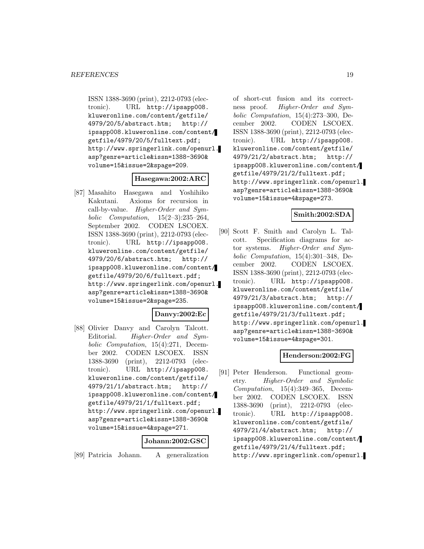ISSN 1388-3690 (print), 2212-0793 (electronic). URL http://ipsapp008. kluweronline.com/content/getfile/ 4979/20/5/abstract.htm; http:// ipsapp008.kluweronline.com/content/ getfile/4979/20/5/fulltext.pdf; http://www.springerlink.com/openurl. asp?genre=article&issn=1388-3690& volume=15&issue=2&spage=209.

### **Hasegawa:2002:ARC**

[87] Masahito Hasegawa and Yoshihiko Kakutani. Axioms for recursion in call-by-value. Higher-Order and Symbolic Computation, 15(2–3):235–264, September 2002. CODEN LSCOEX. ISSN 1388-3690 (print), 2212-0793 (electronic). URL http://ipsapp008. kluweronline.com/content/getfile/ 4979/20/6/abstract.htm; http:// ipsapp008.kluweronline.com/content/ getfile/4979/20/6/fulltext.pdf; http://www.springerlink.com/openurl. asp?genre=article&issn=1388-3690& volume=15&issue=2&spage=235.

#### **Danvy:2002:Ec**

[88] Olivier Danvy and Carolyn Talcott. Editorial. Higher-Order and Symbolic Computation, 15(4):271, December 2002. CODEN LSCOEX. ISSN 1388-3690 (print), 2212-0793 (electronic). URL http://ipsapp008. kluweronline.com/content/getfile/ 4979/21/1/abstract.htm; http:// ipsapp008.kluweronline.com/content/ getfile/4979/21/1/fulltext.pdf; http://www.springerlink.com/openurl. asp?genre=article&issn=1388-3690& volume=15&issue=4&spage=271.

#### **Johann:2002:GSC**

[89] Patricia Johann. A generalization

of short-cut fusion and its correctness proof. Higher-Order and Symbolic Computation, 15(4):273–300, December 2002. CODEN LSCOEX. ISSN 1388-3690 (print), 2212-0793 (electronic). URL http://ipsapp008. kluweronline.com/content/getfile/ 4979/21/2/abstract.htm; http:// ipsapp008.kluweronline.com/content/ getfile/4979/21/2/fulltext.pdf; http://www.springerlink.com/openurl. asp?genre=article&issn=1388-3690& volume=15&issue=4&spage=273.

# **Smith:2002:SDA**

[90] Scott F. Smith and Carolyn L. Talcott. Specification diagrams for actor systems. Higher-Order and Symbolic Computation, 15(4):301–348, December 2002. CODEN LSCOEX. ISSN 1388-3690 (print), 2212-0793 (electronic). URL http://ipsapp008. kluweronline.com/content/getfile/ 4979/21/3/abstract.htm; http:// ipsapp008.kluweronline.com/content/ getfile/4979/21/3/fulltext.pdf; http://www.springerlink.com/openurl. asp?genre=article&issn=1388-3690& volume=15&issue=4&spage=301.

# **Henderson:2002:FG**

[91] Peter Henderson. Functional geometry. Higher-Order and Symbolic Computation, 15(4):349–365, December 2002. CODEN LSCOEX. ISSN 1388-3690 (print), 2212-0793 (electronic). URL http://ipsapp008. kluweronline.com/content/getfile/ 4979/21/4/abstract.htm; http:// ipsapp008.kluweronline.com/content/ getfile/4979/21/4/fulltext.pdf; http://www.springerlink.com/openurl.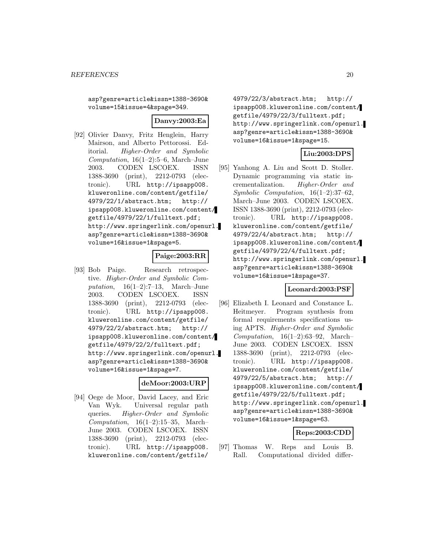asp?genre=article&issn=1388-3690& volume=15&issue=4&spage=349.

# **Danvy:2003:Ea**

[92] Olivier Danvy, Fritz Henglein, Harry Mairson, and Alberto Pettorossi. Editorial. Higher-Order and Symbolic Computation,  $16(1-2):5-6$ , March–June 2003. CODEN LSCOEX. ISSN 1388-3690 (print), 2212-0793 (electronic). URL http://ipsapp008. kluweronline.com/content/getfile/ 4979/22/1/abstract.htm; http:// ipsapp008.kluweronline.com/content/ getfile/4979/22/1/fulltext.pdf; http://www.springerlink.com/openurl. asp?genre=article&issn=1388-3690& volume=16&issue=1&spage=5.

### **Paige:2003:RR**

[93] Bob Paige. Research retrospective. Higher-Order and Symbolic Computation,  $16(1-2):7-13$ , March–June 2003. CODEN LSCOEX. ISSN 1388-3690 (print), 2212-0793 (electronic). URL http://ipsapp008. kluweronline.com/content/getfile/ 4979/22/2/abstract.htm; http:// ipsapp008.kluweronline.com/content/ getfile/4979/22/2/fulltext.pdf; http://www.springerlink.com/openurl. asp?genre=article&issn=1388-3690& volume=16&issue=1&spage=7.

#### **deMoor:2003:URP**

[94] Oege de Moor, David Lacey, and Eric Van Wyk. Universal regular path queries. Higher-Order and Symbolic Computation,  $16(1-2):15-35$ , March– June 2003. CODEN LSCOEX. ISSN 1388-3690 (print), 2212-0793 (electronic). URL http://ipsapp008. kluweronline.com/content/getfile/

4979/22/3/abstract.htm; http:// ipsapp008.kluweronline.com/content/ getfile/4979/22/3/fulltext.pdf; http://www.springerlink.com/openurl. asp?genre=article&issn=1388-3690& volume=16&issue=1&spage=15.

# **Liu:2003:DPS**

[95] Yanhong A. Liu and Scott D. Stoller. Dynamic programming via static incrementalization. Higher-Order and Symbolic Computation, 16(1–2):37–62, March–June 2003. CODEN LSCOEX. ISSN 1388-3690 (print), 2212-0793 (electronic). URL http://ipsapp008. kluweronline.com/content/getfile/ 4979/22/4/abstract.htm; http:// ipsapp008.kluweronline.com/content/ getfile/4979/22/4/fulltext.pdf; http://www.springerlink.com/openurl. asp?genre=article&issn=1388-3690& volume=16&issue=1&spage=37.

# **Leonard:2003:PSF**

[96] Elizabeth I. Leonard and Constance L. Heitmeyer. Program synthesis from formal requirements specifications using APTS. Higher-Order and Symbolic Computation,  $16(1-2):63-92$ , March– June 2003. CODEN LSCOEX. ISSN 1388-3690 (print), 2212-0793 (electronic). URL http://ipsapp008. kluweronline.com/content/getfile/ 4979/22/5/abstract.htm; http:// ipsapp008.kluweronline.com/content/ getfile/4979/22/5/fulltext.pdf; http://www.springerlink.com/openurl. asp?genre=article&issn=1388-3690& volume=16&issue=1&spage=63.

#### **Reps:2003:CDD**

[97] Thomas W. Reps and Louis B. Rall. Computational divided differ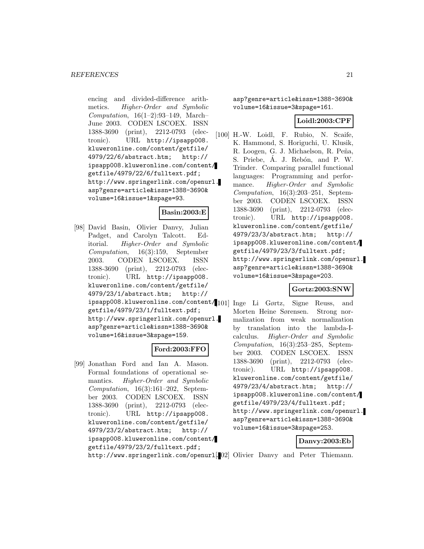encing and divided-difference arithmetics. Higher-Order and Symbolic Computation, 16(1–2):93–149, March– June 2003. CODEN LSCOEX. ISSN 1388-3690 (print), 2212-0793 (electronic). URL http://ipsapp008. kluweronline.com/content/getfile/ 4979/22/6/abstract.htm; http:// ipsapp008.kluweronline.com/content/ getfile/4979/22/6/fulltext.pdf; http://www.springerlink.com/openurl. asp?genre=article&issn=1388-3690& volume=16&issue=1&spage=93.

# **Basin:2003:E**

[98] David Basin, Olivier Danvy, Julian Padget, and Carolyn Talcott. Editorial. Higher-Order and Symbolic Computation, 16(3):159, September 2003. CODEN LSCOEX. ISSN 1388-3690 (print), 2212-0793 (electronic). URL http://ipsapp008. kluweronline.com/content/getfile/ 4979/23/1/abstract.htm; http:// ipsapp008.kluweronline.com/content/ [101] Inge Li Gørtz, Signe Reuss, and getfile/4979/23/1/fulltext.pdf; http://www.springerlink.com/openurl. asp?genre=article&issn=1388-3690& volume=16&issue=3&spage=159.

# **Ford:2003:FFO**

[99] Jonathan Ford and Ian A. Mason. Formal foundations of operational semantics. Higher-Order and Symbolic Computation, 16(3):161–202, September 2003. CODEN LSCOEX. ISSN 1388-3690 (print), 2212-0793 (electronic). URL http://ipsapp008. kluweronline.com/content/getfile/ 4979/23/2/abstract.htm; http:// ipsapp008.kluweronline.com/content/ getfile/4979/23/2/fulltext.pdf;

asp?genre=article&issn=1388-3690& volume=16&issue=3&spage=161.

# **Loidl:2003:CPF**

[100] H.-W. Loidl, F. Rubio, N. Scaife, K. Hammond, S. Horiguchi, U. Klusik, R. Loogen, G. J. Michaelson, R. Peña, S. Priebe, A. J. Rebón, and P. W. Trinder. Comparing parallel functional languages: Programming and performance. Higher-Order and Symbolic Computation, 16(3):203–251, September 2003. CODEN LSCOEX. ISSN 1388-3690 (print), 2212-0793 (electronic). URL http://ipsapp008. kluweronline.com/content/getfile/ 4979/23/3/abstract.htm; http:// ipsapp008.kluweronline.com/content/ getfile/4979/23/3/fulltext.pdf; http://www.springerlink.com/openurl. asp?genre=article&issn=1388-3690& volume=16&issue=3&spage=203.

# **Gortz:2003:SNW**

Morten Heine Sørensen. Strong normalization from weak normalization by translation into the lambda-Icalculus. Higher-Order and Symbolic  $Computation, 16(3):253-285, September$ ber 2003. CODEN LSCOEX. ISSN 1388-3690 (print), 2212-0793 (electronic). URL http://ipsapp008. kluweronline.com/content/getfile/ 4979/23/4/abstract.htm; http:// ipsapp008.kluweronline.com/content/ getfile/4979/23/4/fulltext.pdf; http://www.springerlink.com/openurl. asp?genre=article&issn=1388-3690& volume=16&issue=3&spage=253.

#### **Danvy:2003:Eb**

http://www.springerlink.com/openurl. [102] Olivier Danvy and Peter Thiemann.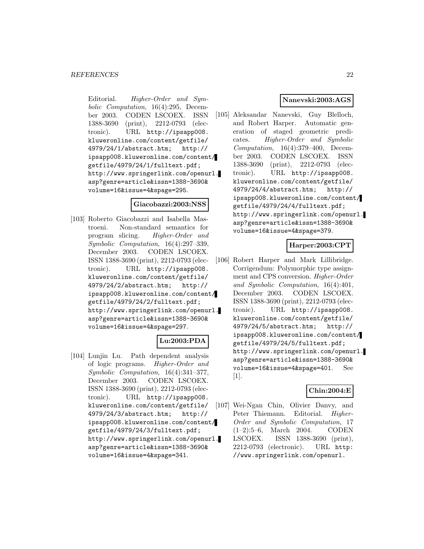Editorial. Higher-Order and Symbolic Computation, 16(4):295, December 2003. CODEN LSCOEX. ISSN 1388-3690 (print), 2212-0793 (electronic). URL http://ipsapp008. kluweronline.com/content/getfile/ 4979/24/1/abstract.htm; http:// ipsapp008.kluweronline.com/content/ getfile/4979/24/1/fulltext.pdf; http://www.springerlink.com/openurl. asp?genre=article&issn=1388-3690& volume=16&issue=4&spage=295.

#### **Giacobazzi:2003:NSS**

[103] Roberto Giacobazzi and Isabella Mastroeni. Non-standard semantics for program slicing. Higher-Order and Symbolic Computation, 16(4):297–339, December 2003. CODEN LSCOEX. ISSN 1388-3690 (print), 2212-0793 (electronic). URL http://ipsapp008. kluweronline.com/content/getfile/ 4979/24/2/abstract.htm; http:// ipsapp008.kluweronline.com/content/ getfile/4979/24/2/fulltext.pdf; http://www.springerlink.com/openurl. asp?genre=article&issn=1388-3690& volume=16&issue=4&spage=297.

# **Lu:2003:PDA**

[104] Lunjin Lu. Path dependent analysis of logic programs. Higher-Order and Symbolic Computation, 16(4):341–377, December 2003. CODEN LSCOEX. ISSN 1388-3690 (print), 2212-0793 (electronic). URL http://ipsapp008. kluweronline.com/content/getfile/ 4979/24/3/abstract.htm; http:// ipsapp008.kluweronline.com/content/ getfile/4979/24/3/fulltext.pdf; http://www.springerlink.com/openurl. asp?genre=article&issn=1388-3690& volume=16&issue=4&spage=341.

# **Nanevski:2003:AGS**

[105] Aleksandar Nanevski, Guy Blelloch, and Robert Harper. Automatic generation of staged geometric predicates. Higher-Order and Symbolic Computation, 16(4):379–400, December 2003. CODEN LSCOEX. ISSN 1388-3690 (print), 2212-0793 (electronic). URL http://ipsapp008. kluweronline.com/content/getfile/ 4979/24/4/abstract.htm; http:// ipsapp008.kluweronline.com/content/ getfile/4979/24/4/fulltext.pdf; http://www.springerlink.com/openurl. asp?genre=article&issn=1388-3690& volume=16&issue=4&spage=379.

### **Harper:2003:CPT**

[106] Robert Harper and Mark Lillibridge. Corrigendum: Polymorphic type assignment and CPS conversion. Higher-Order and Symbolic Computation, 16(4):401, December 2003. CODEN LSCOEX. ISSN 1388-3690 (print), 2212-0793 (electronic). URL http://ipsapp008. kluweronline.com/content/getfile/ 4979/24/5/abstract.htm; http:// ipsapp008.kluweronline.com/content/ getfile/4979/24/5/fulltext.pdf; http://www.springerlink.com/openurl. asp?genre=article&issn=1388-3690& volume=16&issue=4&spage=401. See [1].

#### **Chin:2004:E**

[107] Wei-Ngan Chin, Olivier Danvy, and Peter Thiemann. Editorial. Higher-Order and Symbolic Computation, 17 (1–2):5–6, March 2004. CODEN LSCOEX. ISSN 1388-3690 (print), 2212-0793 (electronic). URL http: //www.springerlink.com/openurl.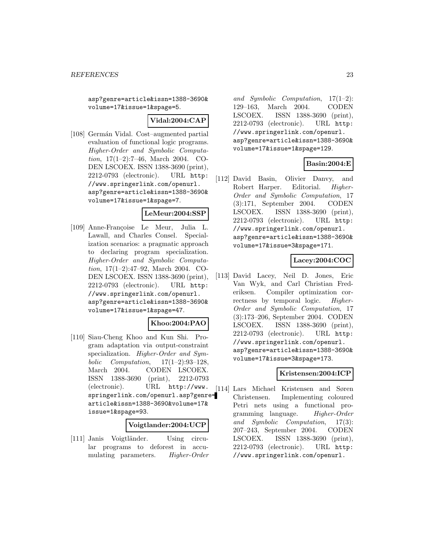asp?genre=article&issn=1388-3690& volume=17&issue=1&spage=5.

# **Vidal:2004:CAP**

[108] Germán Vidal. Cost–augmented partial evaluation of functional logic programs. Higher-Order and Symbolic Computation, 17(1–2):7–46, March 2004. CO-DEN LSCOEX. ISSN 1388-3690 (print), 2212-0793 (electronic). URL http: //www.springerlink.com/openurl. asp?genre=article&issn=1388-3690& volume=17&issue=1&spage=7.

#### **LeMeur:2004:SSP**

[109] Anne-Françoise Le Meur, Julia L. Lawall, and Charles Consel. Specialization scenarios: a pragmatic approach to declaring program specialization. Higher-Order and Symbolic Computation, 17(1–2):47–92, March 2004. CO-DEN LSCOEX. ISSN 1388-3690 (print), 2212-0793 (electronic). URL http: //www.springerlink.com/openurl. asp?genre=article&issn=1388-3690& volume=17&issue=1&spage=47.

#### **Khoo:2004:PAO**

[110] Siau-Cheng Khoo and Kun Shi. Program adaptation via output-constraint specialization. Higher-Order and Symbolic Computation,  $17(1-2):93-128$ , March 2004. CODEN LSCOEX. ISSN 1388-3690 (print), 2212-0793 (electronic). URL http://www. springerlink.com/openurl.asp?genre= article&issn=1388-3690&volume=17& issue=1&spage=93.

#### **Voigtlander:2004:UCP**

[111] Janis Voigtländer. Using circular programs to deforest in accumulating parameters. Higher-Order and Symbolic Computation, 17(1–2): 129–163, March 2004. CODEN LSCOEX. ISSN 1388-3690 (print), 2212-0793 (electronic). URL http: //www.springerlink.com/openurl. asp?genre=article&issn=1388-3690& volume=17&issue=1&spage=129.

### **Basin:2004:E**

[112] David Basin, Olivier Danvy, and Robert Harper. Editorial. Higher-Order and Symbolic Computation, 17 (3):171, September 2004. CODEN LSCOEX. ISSN 1388-3690 (print), 2212-0793 (electronic). URL http: //www.springerlink.com/openurl. asp?genre=article&issn=1388-3690& volume=17&issue=3&spage=171.

#### **Lacey:2004:COC**

[113] David Lacey, Neil D. Jones, Eric Van Wyk, and Carl Christian Frederiksen. Compiler optimization correctness by temporal logic. *Higher-*Order and Symbolic Computation, 17 (3):173–206, September 2004. CODEN LSCOEX. ISSN 1388-3690 (print), 2212-0793 (electronic). URL http: //www.springerlink.com/openurl. asp?genre=article&issn=1388-3690& volume=17&issue=3&spage=173.

#### **Kristensen:2004:ICP**

[114] Lars Michael Kristensen and Søren Christensen. Implementing coloured Petri nets using a functional programming language. Higher-Order and Symbolic Computation, 17(3): 207–243, September 2004. CODEN LSCOEX. ISSN 1388-3690 (print), 2212-0793 (electronic). URL http: //www.springerlink.com/openurl.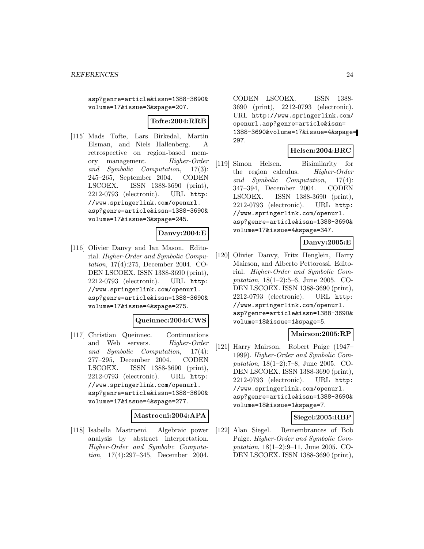asp?genre=article&issn=1388-3690& volume=17&issue=3&spage=207.

# **Tofte:2004:RRB**

[115] Mads Tofte, Lars Birkedal, Martin Elsman, and Niels Hallenberg. A retrospective on region-based memory management. Higher-Order and Symbolic Computation, 17(3): 245–265, September 2004. CODEN LSCOEX. ISSN 1388-3690 (print), 2212-0793 (electronic). URL http: //www.springerlink.com/openurl. asp?genre=article&issn=1388-3690& volume=17&issue=3&spage=245.

#### **Danvy:2004:E**

[116] Olivier Danvy and Ian Mason. Editorial. Higher-Order and Symbolic Computation, 17(4):275, December 2004. CO-DEN LSCOEX. ISSN 1388-3690 (print), 2212-0793 (electronic). URL http: //www.springerlink.com/openurl. asp?genre=article&issn=1388-3690& volume=17&issue=4&spage=275.

### **Queinnec:2004:CWS**

[117] Christian Queinnec. Continuations and Web servers. Higher-Order and Symbolic Computation, 17(4): 277–295, December 2004. CODEN LSCOEX. ISSN 1388-3690 (print), 2212-0793 (electronic). URL http: //www.springerlink.com/openurl. asp?genre=article&issn=1388-3690& volume=17&issue=4&spage=277.

#### **Mastroeni:2004:APA**

[118] Isabella Mastroeni. Algebraic power analysis by abstract interpretation. Higher-Order and Symbolic Computation, 17(4):297–345, December 2004.

CODEN LSCOEX. ISSN 1388- 3690 (print), 2212-0793 (electronic). URL http://www.springerlink.com/ openurl.asp?genre=article&issn= 1388-3690&volume=17&issue=4&spage= 297.

# **Helsen:2004:BRC**

[119] Simon Helsen. Bisimilarity for the region calculus. Higher-Order and Symbolic Computation, 17(4): 347–394, December 2004. CODEN LSCOEX. ISSN 1388-3690 (print), 2212-0793 (electronic). URL http: //www.springerlink.com/openurl. asp?genre=article&issn=1388-3690& volume=17&issue=4&spage=347.

# **Danvy:2005:E**

[120] Olivier Danvy, Fritz Henglein, Harry Mairson, and Alberto Pettorossi. Editorial. Higher-Order and Symbolic Computation, 18(1–2):5–6, June 2005. CO-DEN LSCOEX. ISSN 1388-3690 (print), 2212-0793 (electronic). URL http: //www.springerlink.com/openurl. asp?genre=article&issn=1388-3690& volume=18&issue=1&spage=5.

# **Mairson:2005:RP**

[121] Harry Mairson. Robert Paige (1947– 1999). Higher-Order and Symbolic Computation, 18(1–2):7–8, June 2005. CO-DEN LSCOEX. ISSN 1388-3690 (print), 2212-0793 (electronic). URL http: //www.springerlink.com/openurl. asp?genre=article&issn=1388-3690& volume=18&issue=1&spage=7.

#### **Siegel:2005:RBP**

[122] Alan Siegel. Remembrances of Bob Paige. Higher-Order and Symbolic Computation, 18(1–2):9–11, June 2005. CO-DEN LSCOEX. ISSN 1388-3690 (print),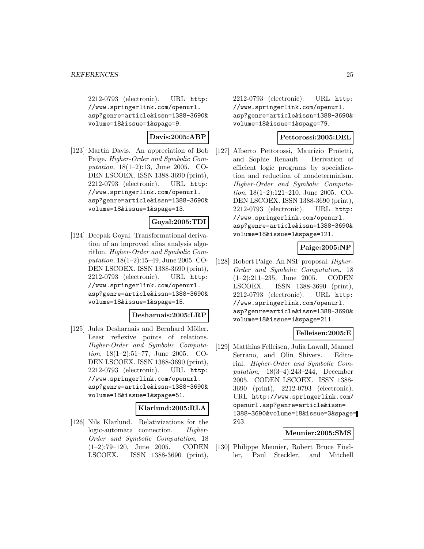2212-0793 (electronic). URL http: //www.springerlink.com/openurl. asp?genre=article&issn=1388-3690& volume=18&issue=1&spage=9.

# **Davis:2005:ABP**

[123] Martin Davis. An appreciation of Bob Paige. Higher-Order and Symbolic Computation, 18(1–2):13, June 2005. CO-DEN LSCOEX. ISSN 1388-3690 (print), 2212-0793 (electronic). URL http: //www.springerlink.com/openurl. asp?genre=article&issn=1388-3690& volume=18&issue=1&spage=13.

### **Goyal:2005:TDI**

[124] Deepak Goyal. Transformational derivation of an improved alias analysis algorithm. Higher-Order and Symbolic Computation, 18(1–2):15–49, June 2005. CO-DEN LSCOEX. ISSN 1388-3690 (print), 2212-0793 (electronic). URL http: //www.springerlink.com/openurl. asp?genre=article&issn=1388-3690& volume=18&issue=1&spage=15.

#### **Desharnais:2005:LRP**

[125] Jules Desharnais and Bernhard Möller. Least reflexive points of relations. Higher-Order and Symbolic Computation, 18(1–2):51–77, June 2005. CO-DEN LSCOEX. ISSN 1388-3690 (print), 2212-0793 (electronic). URL http: //www.springerlink.com/openurl. asp?genre=article&issn=1388-3690& volume=18&issue=1&spage=51.

#### **Klarlund:2005:RLA**

[126] Nils Klarlund. Relativizations for the logic-automata connection. Higher-Order and Symbolic Computation, 18 (1–2):79–120, June 2005. CODEN LSCOEX. ISSN 1388-3690 (print),

2212-0793 (electronic). URL http: //www.springerlink.com/openurl. asp?genre=article&issn=1388-3690& volume=18&issue=1&spage=79.

# **Pettorossi:2005:DEL**

[127] Alberto Pettorossi, Maurizio Proietti, and Sophie Renault. Derivation of efficient logic programs by specialization and reduction of nondeterminism. Higher-Order and Symbolic Computation, 18(1–2):121–210, June 2005. CO-DEN LSCOEX. ISSN 1388-3690 (print), 2212-0793 (electronic). URL http: //www.springerlink.com/openurl. asp?genre=article&issn=1388-3690& volume=18&issue=1&spage=121.

# **Paige:2005:NP**

[128] Robert Paige. An NSF proposal. Higher-Order and Symbolic Computation, 18 (1–2):211–235, June 2005. CODEN LSCOEX. ISSN 1388-3690 (print), 2212-0793 (electronic). URL http: //www.springerlink.com/openurl. asp?genre=article&issn=1388-3690& volume=18&issue=1&spage=211.

# **Felleisen:2005:E**

[129] Matthias Felleisen, Julia Lawall, Manuel Serrano, and Olin Shivers. Editorial. Higher-Order and Symbolic Computation, 18(3–4):243–244, December 2005. CODEN LSCOEX. ISSN 1388- 3690 (print), 2212-0793 (electronic). URL http://www.springerlink.com/ openurl.asp?genre=article&issn= 1388-3690&volume=18&issue=3&spage= 243.

#### **Meunier:2005:SMS**

[130] Philippe Meunier, Robert Bruce Findler, Paul Steckler, and Mitchell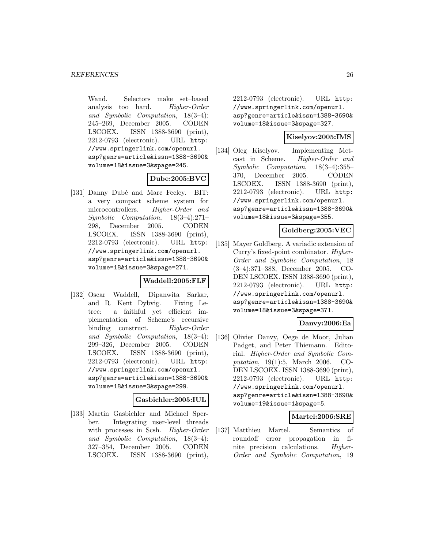Wand. Selectors make set–based analysis too hard. Higher-Order and Symbolic Computation, 18(3–4): 245–269, December 2005. CODEN LSCOEX. ISSN 1388-3690 (print), 2212-0793 (electronic). URL http: //www.springerlink.com/openurl. asp?genre=article&issn=1388-3690& volume=18&issue=3&spage=245.

# **Dube:2005:BVC**

[131] Danny Dubé and Marc Feeley. BIT: a very compact scheme system for microcontrollers. Higher-Order and Symbolic Computation, 18(3–4):271– 298, December 2005. CODEN LSCOEX. ISSN 1388-3690 (print), 2212-0793 (electronic). URL http: //www.springerlink.com/openurl. asp?genre=article&issn=1388-3690& volume=18&issue=3&spage=271.

#### **Waddell:2005:FLF**

[132] Oscar Waddell, Dipanwita Sarkar, and R. Kent Dybvig. Fixing Letrec: a faithful yet efficient implementation of Scheme's recursive binding construct. Higher-Order and Symbolic Computation, 18(3–4): 299–326, December 2005. CODEN LSCOEX. ISSN 1388-3690 (print), 2212-0793 (electronic). URL http: //www.springerlink.com/openurl. asp?genre=article&issn=1388-3690& volume=18&issue=3&spage=299.

### **Gasbichler:2005:IUL**

[133] Martin Gasbichler and Michael Sperber. Integrating user-level threads with processes in Scsh. Higher-Order and Symbolic Computation, 18(3–4): 327–354, December 2005. CODEN LSCOEX. ISSN 1388-3690 (print),

2212-0793 (electronic). URL http: //www.springerlink.com/openurl. asp?genre=article&issn=1388-3690& volume=18&issue=3&spage=327.

# **Kiselyov:2005:IMS**

[134] Oleg Kiselyov. Implementing Metcast in Scheme. Higher-Order and Symbolic Computation, 18(3–4):355– 370, December 2005. CODEN LSCOEX. ISSN 1388-3690 (print), 2212-0793 (electronic). URL http: //www.springerlink.com/openurl. asp?genre=article&issn=1388-3690& volume=18&issue=3&spage=355.

### **Goldberg:2005:VEC**

[135] Mayer Goldberg. A variadic extension of Curry's fixed-point combinator. Higher-Order and Symbolic Computation, 18 (3–4):371–388, December 2005. CO-DEN LSCOEX. ISSN 1388-3690 (print), 2212-0793 (electronic). URL http: //www.springerlink.com/openurl. asp?genre=article&issn=1388-3690& volume=18&issue=3&spage=371.

#### **Danvy:2006:Ea**

[136] Olivier Danvy, Oege de Moor, Julian Padget, and Peter Thiemann. Editorial. Higher-Order and Symbolic Computation, 19(1):5, March 2006. CO-DEN LSCOEX. ISSN 1388-3690 (print), 2212-0793 (electronic). URL http: //www.springerlink.com/openurl. asp?genre=article&issn=1388-3690& volume=19&issue=1&spage=5.

#### **Martel:2006:SRE**

[137] Matthieu Martel. Semantics of roundoff error propagation in finite precision calculations. Higher-Order and Symbolic Computation, 19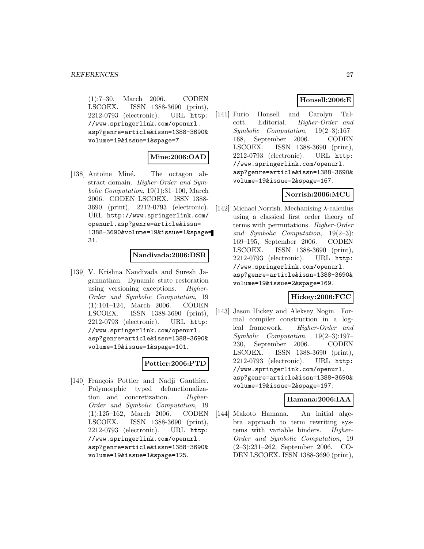(1):7–30, March 2006. CODEN LSCOEX. ISSN 1388-3690 (print), 2212-0793 (electronic). URL http: //www.springerlink.com/openurl. asp?genre=article&issn=1388-3690& volume=19&issue=1&spage=7.

# **Mine:2006:OAD**

[138] Antoine Miné. The octagon abstract domain. Higher-Order and Symbolic Computation, 19(1):31–100, March 2006. CODEN LSCOEX. ISSN 1388- 3690 (print), 2212-0793 (electronic). URL http://www.springerlink.com/ openurl.asp?genre=article&issn= 1388-3690&volume=19&issue=1&spage= 31.

# **Nandivada:2006:DSR**

[139] V. Krishna Nandivada and Suresh Jagannathan. Dynamic state restoration using versioning exceptions. Higher-Order and Symbolic Computation, 19 (1):101–124, March 2006. CODEN LSCOEX. ISSN 1388-3690 (print), 2212-0793 (electronic). URL http: //www.springerlink.com/openurl. asp?genre=article&issn=1388-3690& volume=19&issue=1&spage=101.

# **Pottier:2006:PTD**

[140] François Pottier and Nadji Gauthier. Polymorphic typed defunctionalization and concretization. Higher-Order and Symbolic Computation, 19 (1):125–162, March 2006. CODEN LSCOEX. ISSN 1388-3690 (print), 2212-0793 (electronic). URL http: //www.springerlink.com/openurl. asp?genre=article&issn=1388-3690& volume=19&issue=1&spage=125.

# **Honsell:2006:E**

[141] Furio Honsell and Carolyn Talcott. Editorial. Higher-Order and Symbolic Computation, 19(2–3):167– 168, September 2006. CODEN LSCOEX. ISSN 1388-3690 (print), 2212-0793 (electronic). URL http: //www.springerlink.com/openurl. asp?genre=article&issn=1388-3690& volume=19&issue=2&spage=167.

# **Norrish:2006:MCU**

[142] Michael Norrish. Mechanising λ-calculus using a classical first order theory of terms with permutations. Higher-Order and Symbolic Computation, 19(2–3): 169–195, September 2006. CODEN LSCOEX. ISSN 1388-3690 (print), 2212-0793 (electronic). URL http: //www.springerlink.com/openurl. asp?genre=article&issn=1388-3690& volume=19&issue=2&spage=169.

# **Hickey:2006:FCC**

[143] Jason Hickey and Aleksey Nogin. Formal compiler construction in a logical framework. Higher-Order and Symbolic Computation, 19(2–3):197– 230, September 2006. CODEN LSCOEX. ISSN 1388-3690 (print), 2212-0793 (electronic). URL http: //www.springerlink.com/openurl. asp?genre=article&issn=1388-3690& volume=19&issue=2&spage=197.

# **Hamana:2006:IAA**

[144] Makoto Hamana. An initial algebra approach to term rewriting systems with variable binders. Higher-Order and Symbolic Computation, 19 (2–3):231–262, September 2006. CO-DEN LSCOEX. ISSN 1388-3690 (print),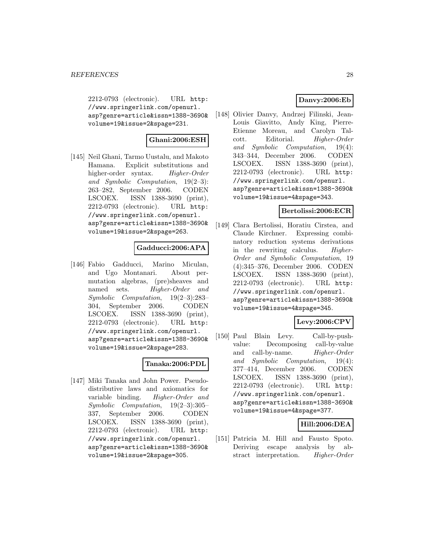2212-0793 (electronic). URL http: //www.springerlink.com/openurl. asp?genre=article&issn=1388-3690& volume=19&issue=2&spage=231.

# **Ghani:2006:ESH**

[145] Neil Ghani, Tarmo Uustalu, and Makoto Hamana. Explicit substitutions and higher-order syntax. Higher-Order and Symbolic Computation, 19(2–3): 263–282, September 2006. CODEN LSCOEX. ISSN 1388-3690 (print), 2212-0793 (electronic). URL http: //www.springerlink.com/openurl. asp?genre=article&issn=1388-3690& volume=19&issue=2&spage=263.

# **Gadducci:2006:APA**

[146] Fabio Gadducci, Marino Miculan, and Ugo Montanari. About permutation algebras, (pre)sheaves and named sets. Higher-Order and Symbolic Computation, 19(2–3):283– 304, September 2006. CODEN LSCOEX. ISSN 1388-3690 (print), 2212-0793 (electronic). URL http: //www.springerlink.com/openurl. asp?genre=article&issn=1388-3690& volume=19&issue=2&spage=283.

# **Tanaka:2006:PDL**

[147] Miki Tanaka and John Power. Pseudodistributive laws and axiomatics for variable binding. Higher-Order and Symbolic Computation, 19(2–3):305– 337, September 2006. CODEN LSCOEX. ISSN 1388-3690 (print), 2212-0793 (electronic). URL http: //www.springerlink.com/openurl. asp?genre=article&issn=1388-3690& volume=19&issue=2&spage=305.

# **Danvy:2006:Eb**

[148] Olivier Danvy, Andrzej Filinski, Jean-Louis Giavitto, Andy King, Pierre-Etienne Moreau, and Carolyn Talcott. Editorial. Higher-Order and Symbolic Computation, 19(4): 343–344, December 2006. CODEN LSCOEX. ISSN 1388-3690 (print), 2212-0793 (electronic). URL http: //www.springerlink.com/openurl. asp?genre=article&issn=1388-3690& volume=19&issue=4&spage=343.

#### **Bertolissi:2006:ECR**

[149] Clara Bertolissi, Horatiu Cirstea, and Claude Kirchner. Expressing combinatory reduction systems derivations in the rewriting calculus. Higher-Order and Symbolic Computation, 19 (4):345–376, December 2006. CODEN LSCOEX. ISSN 1388-3690 (print), 2212-0793 (electronic). URL http: //www.springerlink.com/openurl. asp?genre=article&issn=1388-3690& volume=19&issue=4&spage=345.

# **Levy:2006:CPV**

[150] Paul Blain Levy. Call-by-pushvalue: Decomposing call-by-value and call-by-name. Higher-Order and Symbolic Computation, 19(4): 377–414, December 2006. CODEN LSCOEX. ISSN 1388-3690 (print), 2212-0793 (electronic). URL http: //www.springerlink.com/openurl. asp?genre=article&issn=1388-3690& volume=19&issue=4&spage=377.

# **Hill:2006:DEA**

[151] Patricia M. Hill and Fausto Spoto. Deriving escape analysis by abstract interpretation. Higher-Order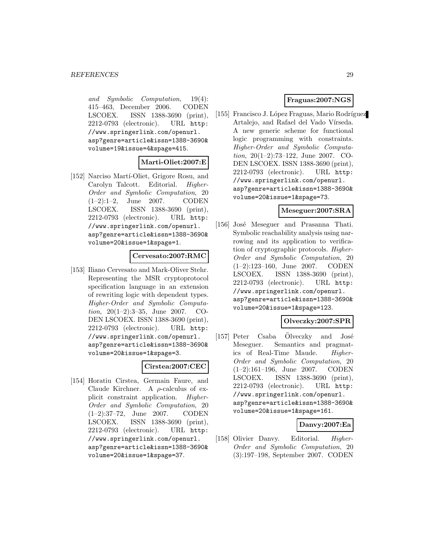and Symbolic Computation, 19(4): 415–463, December 2006. CODEN LSCOEX. ISSN 1388-3690 (print), 2212-0793 (electronic). URL http: //www.springerlink.com/openurl. asp?genre=article&issn=1388-3690& volume=19&issue=4&spage=415.

### **Marti-Oliet:2007:E**

[152] Narciso Marti-Oliet, Grigore Rosu, and Carolyn Talcott. Editorial. Higher-Order and Symbolic Computation, 20 (1–2):1–2, June 2007. CODEN LSCOEX. ISSN 1388-3690 (print), 2212-0793 (electronic). URL http: //www.springerlink.com/openurl. asp?genre=article&issn=1388-3690& volume=20&issue=1&spage=1.

### **Cervesato:2007:RMC**

[153] Iliano Cervesato and Mark-Oliver Stehr. Representing the MSR cryptoprotocol specification language in an extension of rewriting logic with dependent types. Higher-Order and Symbolic Computation, 20(1–2):3–35, June 2007. CO-DEN LSCOEX. ISSN 1388-3690 (print), 2212-0793 (electronic). URL http: //www.springerlink.com/openurl. asp?genre=article&issn=1388-3690& volume=20&issue=1&spage=3.

#### **Cirstea:2007:CEC**

[154] Horatiu Cirstea, Germain Faure, and Claude Kirchner. A  $\rho$ -calculus of explicit constraint application. Higher-Order and Symbolic Computation, 20 (1–2):37–72, June 2007. CODEN LSCOEX. ISSN 1388-3690 (print), 2212-0793 (electronic). URL http: //www.springerlink.com/openurl. asp?genre=article&issn=1388-3690& volume=20&issue=1&spage=37.

# **Fraguas:2007:NGS**

[155] Francisco J. López Fraguas, Mario Rodríguez Artalejo, and Rafael del Vado Vírseda. A new generic scheme for functional logic programming with constraints. Higher-Order and Symbolic Computation, 20(1–2):73–122, June 2007. CO-DEN LSCOEX. ISSN 1388-3690 (print), 2212-0793 (electronic). URL http: //www.springerlink.com/openurl. asp?genre=article&issn=1388-3690& volume=20&issue=1&spage=73.

#### **Meseguer:2007:SRA**

[156] José Meseguer and Prasanna Thati. Symbolic reachability analysis using narrowing and its application to verification of cryptographic protocols. Higher-Order and Symbolic Computation, 20 (1–2):123–160, June 2007. CODEN LSCOEX. ISSN 1388-3690 (print), 2212-0793 (electronic). URL http: //www.springerlink.com/openurl. asp?genre=article&issn=1388-3690& volume=20&issue=1&spage=123.

# **Olveczky:2007:SPR**

 $[157]$  Peter Csaba  $\ddot{\text{O}}$ lveczky and José Meseguer. Semantics and pragmatics of Real-Time Maude. Higher-Order and Symbolic Computation, 20 (1–2):161–196, June 2007. CODEN LSCOEX. ISSN 1388-3690 (print), 2212-0793 (electronic). URL http: //www.springerlink.com/openurl. asp?genre=article&issn=1388-3690& volume=20&issue=1&spage=161.

# **Danvy:2007:Ea**

[158] Olivier Danvy. Editorial. Higher-Order and Symbolic Computation, 20 (3):197–198, September 2007. CODEN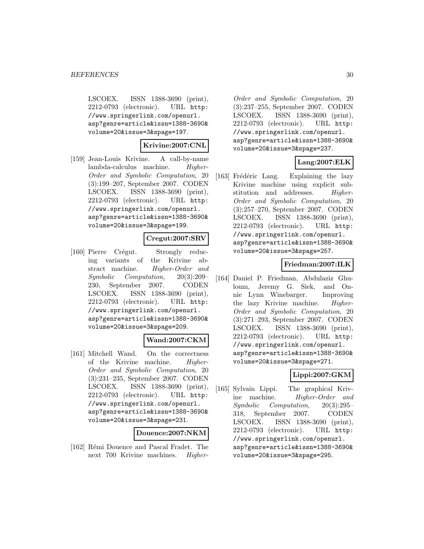LSCOEX. ISSN 1388-3690 (print), 2212-0793 (electronic). URL http: //www.springerlink.com/openurl. asp?genre=article&issn=1388-3690& volume=20&issue=3&spage=197.

# **Krivine:2007:CNL**

[159] Jean-Louis Krivine. A call-by-name lambda-calculus machine. Higher-Order and Symbolic Computation, 20 (3):199–207, September 2007. CODEN LSCOEX. ISSN 1388-3690 (print), 2212-0793 (electronic). URL http: //www.springerlink.com/openurl. asp?genre=article&issn=1388-3690& volume=20&issue=3&spage=199.

#### **Cregut:2007:SRV**

[160] Pierre Crégut. Strongly reducing variants of the Krivine abstract machine. Higher-Order and Symbolic Computation, 20(3):209– 230, September 2007. CODEN LSCOEX. ISSN 1388-3690 (print), 2212-0793 (electronic). URL http: //www.springerlink.com/openurl. asp?genre=article&issn=1388-3690& volume=20&issue=3&spage=209.

# **Wand:2007:CKM**

[161] Mitchell Wand. On the correctness of the Krivine machine. Higher-Order and Symbolic Computation, 20 (3):231–235, September 2007. CODEN LSCOEX. ISSN 1388-3690 (print), 2212-0793 (electronic). URL http: //www.springerlink.com/openurl. asp?genre=article&issn=1388-3690& volume=20&issue=3&spage=231.

#### **Douence:2007:NKM**

[162] Rémi Douence and Pascal Fradet. The next 700 Krivine machines. HigherOrder and Symbolic Computation, 20 (3):237–255, September 2007. CODEN LSCOEX. ISSN 1388-3690 (print), 2212-0793 (electronic). URL http: //www.springerlink.com/openurl. asp?genre=article&issn=1388-3690& volume=20&issue=3&spage=237.

# **Lang:2007:ELK**

[163] Frédéric Lang. Explaining the lazy Krivine machine using explicit substitution and addresses. Higher-Order and Symbolic Computation, 20 (3):257–270, September 2007. CODEN LSCOEX. ISSN 1388-3690 (print), 2212-0793 (electronic). URL http: //www.springerlink.com/openurl. asp?genre=article&issn=1388-3690& volume=20&issue=3&spage=257.

#### **Friedman:2007:ILK**

[164] Daniel P. Friedman, Abdulaziz Ghuloum, Jeremy G. Siek, and Onnie Lynn Winebarger. Improving the lazy Krivine machine. *Higher-*Order and Symbolic Computation, 20 (3):271–293, September 2007. CODEN LSCOEX. ISSN 1388-3690 (print), 2212-0793 (electronic). URL http: //www.springerlink.com/openurl. asp?genre=article&issn=1388-3690& volume=20&issue=3&spage=271.

# **Lippi:2007:GKM**

[165] Sylvain Lippi. The graphical Krivine machine. Higher-Order and Symbolic Computation, 20(3):295– 318, September 2007. CODEN LSCOEX. ISSN 1388-3690 (print), 2212-0793 (electronic). URL http: //www.springerlink.com/openurl. asp?genre=article&issn=1388-3690& volume=20&issue=3&spage=295.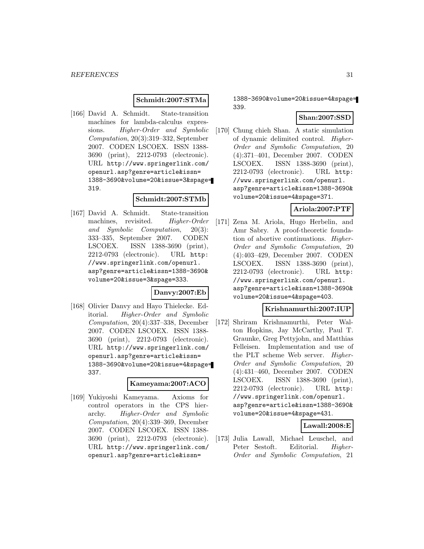#### **Schmidt:2007:STMa**

[166] David A. Schmidt. State-transition machines for lambda-calculus expressions. Higher-Order and Symbolic Computation, 20(3):319–332, September 2007. CODEN LSCOEX. ISSN 1388- 3690 (print), 2212-0793 (electronic). URL http://www.springerlink.com/ openurl.asp?genre=article&issn= 1388-3690&volume=20&issue=3&spage= 319.

#### **Schmidt:2007:STMb**

[167] David A. Schmidt. State-transition machines, revisited. Higher-Order and Symbolic Computation, 20(3): 333–335, September 2007. CODEN LSCOEX. ISSN 1388-3690 (print), 2212-0793 (electronic). URL http: //www.springerlink.com/openurl. asp?genre=article&issn=1388-3690& volume=20&issue=3&spage=333.

#### **Danvy:2007:Eb**

[168] Olivier Danvy and Hayo Thielecke. Editorial. Higher-Order and Symbolic Computation, 20(4):337–338, December 2007. CODEN LSCOEX. ISSN 1388- 3690 (print), 2212-0793 (electronic). URL http://www.springerlink.com/ openurl.asp?genre=article&issn= 1388-3690&volume=20&issue=4&spage= 337.

#### **Kameyama:2007:ACO**

[169] Yukiyoshi Kameyama. Axioms for control operators in the CPS hierarchy. Higher-Order and Symbolic Computation, 20(4):339–369, December 2007. CODEN LSCOEX. ISSN 1388- 3690 (print), 2212-0793 (electronic). URL http://www.springerlink.com/ openurl.asp?genre=article&issn=

1388-3690&volume=20&issue=4&spage= 339.

# **Shan:2007:SSD**

[170] Chung chieh Shan. A static simulation of dynamic delimited control. Higher-Order and Symbolic Computation, 20 (4):371–401, December 2007. CODEN LSCOEX. ISSN 1388-3690 (print), 2212-0793 (electronic). URL http: //www.springerlink.com/openurl. asp?genre=article&issn=1388-3690& volume=20&issue=4&spage=371.

# **Ariola:2007:PTF**

[171] Zena M. Ariola, Hugo Herbelin, and Amr Sabry. A proof-theoretic foundation of abortive continuations. Higher-Order and Symbolic Computation, 20 (4):403–429, December 2007. CODEN LSCOEX. ISSN 1388-3690 (print), 2212-0793 (electronic). URL http: //www.springerlink.com/openurl. asp?genre=article&issn=1388-3690& volume=20&issue=4&spage=403.

# **Krishnamurthi:2007:IUP**

[172] Shriram Krishnamurthi, Peter Walton Hopkins, Jay McCarthy, Paul T. Graunke, Greg Pettyjohn, and Matthias Felleisen. Implementation and use of the PLT scheme Web server. Higher-Order and Symbolic Computation, 20 (4):431–460, December 2007. CODEN LSCOEX. ISSN 1388-3690 (print), 2212-0793 (electronic). URL http: //www.springerlink.com/openurl. asp?genre=article&issn=1388-3690& volume=20&issue=4&spage=431.

#### **Lawall:2008:E**

[173] Julia Lawall, Michael Leuschel, and Peter Sestoft. Editorial. Higher-Order and Symbolic Computation, 21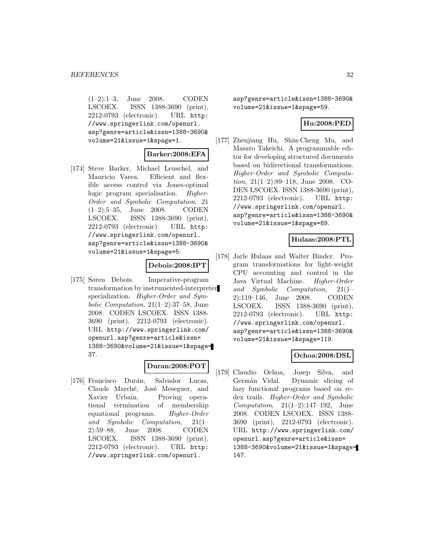(1–2):1–3, June 2008. CODEN LSCOEX. ISSN 1388-3690 (print), 2212-0793 (electronic). URL http: //www.springerlink.com/openurl. asp?genre=article&issn=1388-3690& volume=21&issue=1&spage=1.

#### **Barker:2008:EFA**

[174] Steve Barker, Michael Leuschel, and Mauricio Varea. Efficient and flexible access control via Jones-optimal logic program specialisation. Higher-Order and Symbolic Computation, 21 (1–2):5–35, June 2008. CODEN LSCOEX. ISSN 1388-3690 (print), 2212-0793 (electronic). URL http: //www.springerlink.com/openurl. asp?genre=article&issn=1388-3690& volume=21&issue=1&spage=5.

### **Debois:2008:IPT**

[175] Søren Debois. Imperative-program transformation by instrumented-interpreter specialization. Higher-Order and Symbolic Computation, 21(1–2):37–58, June 2008. CODEN LSCOEX. ISSN 1388- 3690 (print), 2212-0793 (electronic). URL http://www.springerlink.com/ openurl.asp?genre=article&issn= 1388-3690&volume=21&issue=1&spage= 37.

# **Duran:2008:POT**

[176] Francisco Durán, Salvador Lucas, Claude Marché, José Meseguer, and Xavier Urbain. Proving operational termination of membership equational programs. Higher-Order and Symbolic Computation, 21(1– 2):59–88, June 2008. CODEN LSCOEX. ISSN 1388-3690 (print), 2212-0793 (electronic). URL http: //www.springerlink.com/openurl.

asp?genre=article&issn=1388-3690& volume=21&issue=1&spage=59.

# **Hu:2008:PED**

[177] Zhenjiang Hu, Shin-Cheng Mu, and Masato Takeichi. A programmable editor for developing structured documents based on bidirectional transformations. Higher-Order and Symbolic Computation, 21(1–2):89–118, June 2008. CO-DEN LSCOEX. ISSN 1388-3690 (print), 2212-0793 (electronic). URL http: //www.springerlink.com/openurl. asp?genre=article&issn=1388-3690& volume=21&issue=1&spage=89.

# **Hulaas:2008:PTL**

[178] Jarle Hulaas and Walter Binder. Program transformations for light-weight CPU accounting and control in the Java Virtual Machine. Higher-Order and Symbolic Computation, 21(1– 2):119–146, June 2008. CODEN LSCOEX. ISSN 1388-3690 (print), 2212-0793 (electronic). URL http: //www.springerlink.com/openurl. asp?genre=article&issn=1388-3690& volume=21&issue=1&spage=119.

# **Ochoa:2008:DSL**

[179] Claudio Ochoa, Josep Silva, and Germán Vidal. Dynamic slicing of lazy functional programs based on redex trails. Higher-Order and Symbolic Computation, 21(1–2):147–192, June 2008. CODEN LSCOEX. ISSN 1388- 3690 (print), 2212-0793 (electronic). URL http://www.springerlink.com/ openurl.asp?genre=article&issn= 1388-3690&volume=21&issue=1&spage= 147.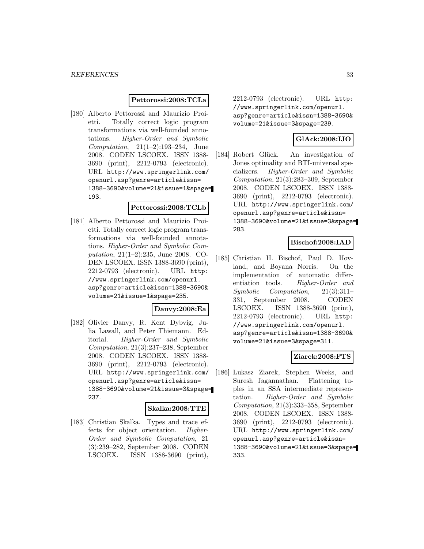#### **Pettorossi:2008:TCLa**

[180] Alberto Pettorossi and Maurizio Proietti. Totally correct logic program transformations via well-founded annotations. Higher-Order and Symbolic Computation, 21(1–2):193–234, June 2008. CODEN LSCOEX. ISSN 1388- 3690 (print), 2212-0793 (electronic). URL http://www.springerlink.com/ openurl.asp?genre=article&issn= 1388-3690&volume=21&issue=1&spage= 193.

#### **Pettorossi:2008:TCLb**

[181] Alberto Pettorossi and Maurizio Proietti. Totally correct logic program transformations via well-founded annotations. Higher-Order and Symbolic Computation, 21(1–2):235, June 2008. CO-DEN LSCOEX. ISSN 1388-3690 (print), 2212-0793 (electronic). URL http: //www.springerlink.com/openurl. asp?genre=article&issn=1388-3690& volume=21&issue=1&spage=235.

# **Danvy:2008:Ea**

[182] Olivier Danvy, R. Kent Dybvig, Julia Lawall, and Peter Thiemann. Editorial. Higher-Order and Symbolic Computation, 21(3):237–238, September 2008. CODEN LSCOEX. ISSN 1388- 3690 (print), 2212-0793 (electronic). URL http://www.springerlink.com/ openurl.asp?genre=article&issn= 1388-3690&volume=21&issue=3&spage= 237.

#### **Skalka:2008:TTE**

[183] Christian Skalka. Types and trace effects for object orientation. Higher-Order and Symbolic Computation, 21 (3):239–282, September 2008. CODEN LSCOEX. ISSN 1388-3690 (print), 2212-0793 (electronic). URL http: //www.springerlink.com/openurl. asp?genre=article&issn=1388-3690& volume=21&issue=3&spage=239.

# **GlAck:2008:IJO**

[184] Robert Glück. An investigation of Jones optimality and BTI-universal specializers. Higher-Order and Symbolic Computation, 21(3):283–309, September 2008. CODEN LSCOEX. ISSN 1388- 3690 (print), 2212-0793 (electronic). URL http://www.springerlink.com/ openurl.asp?genre=article&issn= 1388-3690&volume=21&issue=3&spage= 283.

### **Bischof:2008:IAD**

[185] Christian H. Bischof, Paul D. Hovland, and Boyana Norris. On the implementation of automatic differentiation tools. Higher-Order and Symbolic Computation, 21(3):311– 331, September 2008. CODEN LSCOEX. ISSN 1388-3690 (print), 2212-0793 (electronic). URL http: //www.springerlink.com/openurl. asp?genre=article&issn=1388-3690& volume=21&issue=3&spage=311.

### **Ziarek:2008:FTS**

[186] Lukasz Ziarek, Stephen Weeks, and Suresh Jagannathan. Flattening tuples in an SSA intermediate representation. Higher-Order and Symbolic Computation, 21(3):333–358, September 2008. CODEN LSCOEX. ISSN 1388- 3690 (print), 2212-0793 (electronic). URL http://www.springerlink.com/ openurl.asp?genre=article&issn= 1388-3690&volume=21&issue=3&spage= 333.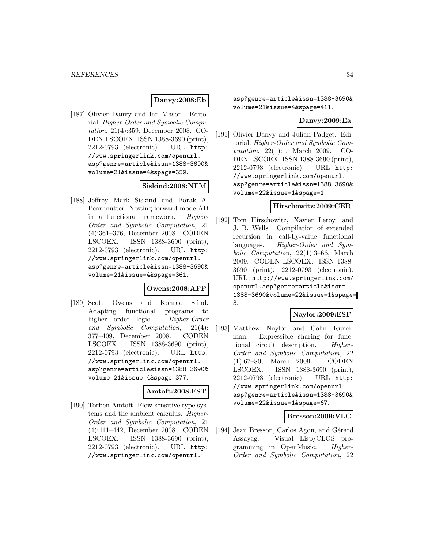# **Danvy:2008:Eb**

[187] Olivier Danvy and Ian Mason. Editorial. Higher-Order and Symbolic Computation, 21(4):359, December 2008. CO-DEN LSCOEX. ISSN 1388-3690 (print), 2212-0793 (electronic). URL http: //www.springerlink.com/openurl. asp?genre=article&issn=1388-3690& volume=21&issue=4&spage=359.

#### **Siskind:2008:NFM**

[188] Jeffrey Mark Siskind and Barak A. Pearlmutter. Nesting forward-mode AD in a functional framework. Higher-Order and Symbolic Computation, 21 (4):361–376, December 2008. CODEN LSCOEX. ISSN 1388-3690 (print), 2212-0793 (electronic). URL http: //www.springerlink.com/openurl. asp?genre=article&issn=1388-3690& volume=21&issue=4&spage=361.

#### **Owens:2008:AFP**

[189] Scott Owens and Konrad Slind. Adapting functional programs to higher order logic. Higher-Order and Symbolic Computation, 21(4): 377–409, December 2008. CODEN LSCOEX. ISSN 1388-3690 (print), 2212-0793 (electronic). URL http: //www.springerlink.com/openurl. asp?genre=article&issn=1388-3690& volume=21&issue=4&spage=377.

#### **Amtoft:2008:FST**

[190] Torben Amtoft. Flow-sensitive type systems and the ambient calculus. Higher-Order and Symbolic Computation, 21 (4):411–442, December 2008. CODEN LSCOEX. ISSN 1388-3690 (print), 2212-0793 (electronic). URL http: //www.springerlink.com/openurl.

asp?genre=article&issn=1388-3690& volume=21&issue=4&spage=411.

### **Danvy:2009:Ea**

[191] Olivier Danvy and Julian Padget. Editorial. Higher-Order and Symbolic Computation, 22(1):1, March 2009. CO-DEN LSCOEX. ISSN 1388-3690 (print), 2212-0793 (electronic). URL http: //www.springerlink.com/openurl. asp?genre=article&issn=1388-3690& volume=22&issue=1&spage=1.

# **Hirschowitz:2009:CER**

[192] Tom Hirschowitz, Xavier Leroy, and J. B. Wells. Compilation of extended recursion in call-by-value functional languages. Higher-Order and Symbolic Computation, 22(1):3–66, March 2009. CODEN LSCOEX. ISSN 1388- 3690 (print), 2212-0793 (electronic). URL http://www.springerlink.com/ openurl.asp?genre=article&issn= 1388-3690&volume=22&issue=1&spage= 3.

#### **Naylor:2009:ESF**

[193] Matthew Naylor and Colin Runciman. Expressible sharing for functional circuit description. Higher-Order and Symbolic Computation, 22 (1):67–80, March 2009. CODEN LSCOEX. ISSN 1388-3690 (print), 2212-0793 (electronic). URL http: //www.springerlink.com/openurl. asp?genre=article&issn=1388-3690& volume=22&issue=1&spage=67.

# **Bresson:2009:VLC**

[194] Jean Bresson, Carlos Agon, and Gérard Assayag. Visual Lisp/CLOS programming in OpenMusic. Higher-Order and Symbolic Computation, 22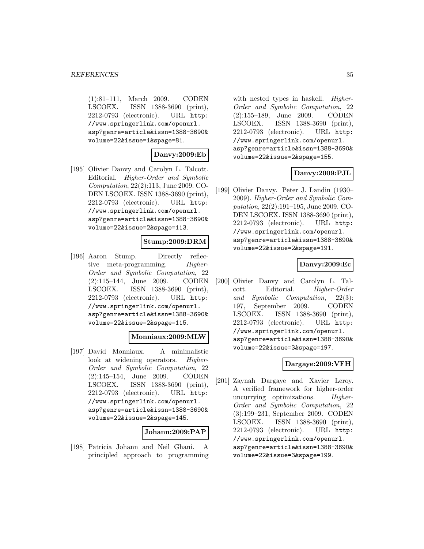(1):81–111, March 2009. CODEN LSCOEX. ISSN 1388-3690 (print), 2212-0793 (electronic). URL http: //www.springerlink.com/openurl. asp?genre=article&issn=1388-3690& volume=22&issue=1&spage=81.

### **Danvy:2009:Eb**

[195] Olivier Danvy and Carolyn L. Talcott. Editorial. Higher-Order and Symbolic Computation, 22(2):113, June 2009. CO-DEN LSCOEX. ISSN 1388-3690 (print), 2212-0793 (electronic). URL http: //www.springerlink.com/openurl. asp?genre=article&issn=1388-3690& volume=22&issue=2&spage=113.

# **Stump:2009:DRM**

[196] Aaron Stump. Directly reflective meta-programming. Higher-Order and Symbolic Computation, 22 (2):115–144, June 2009. CODEN LSCOEX. ISSN 1388-3690 (print), 2212-0793 (electronic). URL http: //www.springerlink.com/openurl. asp?genre=article&issn=1388-3690& volume=22&issue=2&spage=115.

#### **Monniaux:2009:MLW**

[197] David Monniaux. A minimalistic look at widening operators. *Higher-*Order and Symbolic Computation, 22 (2):145–154, June 2009. CODEN LSCOEX. ISSN 1388-3690 (print), 2212-0793 (electronic). URL http: //www.springerlink.com/openurl. asp?genre=article&issn=1388-3690& volume=22&issue=2&spage=145.

#### **Johann:2009:PAP**

[198] Patricia Johann and Neil Ghani. A principled approach to programming with nested types in haskell. Higher-Order and Symbolic Computation, 22 (2):155–189, June 2009. CODEN LSCOEX. ISSN 1388-3690 (print), 2212-0793 (electronic). URL http: //www.springerlink.com/openurl. asp?genre=article&issn=1388-3690& volume=22&issue=2&spage=155.

### **Danvy:2009:PJL**

[199] Olivier Danvy. Peter J. Landin (1930– 2009). Higher-Order and Symbolic Computation, 22(2):191–195, June 2009. CO-DEN LSCOEX. ISSN 1388-3690 (print), 2212-0793 (electronic). URL http: //www.springerlink.com/openurl. asp?genre=article&issn=1388-3690& volume=22&issue=2&spage=191.

#### **Danvy:2009:Ec**

[200] Olivier Danvy and Carolyn L. Talcott. Editorial. Higher-Order and Symbolic Computation, 22(3): 197, September 2009. CODEN LSCOEX. ISSN 1388-3690 (print), 2212-0793 (electronic). URL http: //www.springerlink.com/openurl. asp?genre=article&issn=1388-3690& volume=22&issue=3&spage=197.

# **Dargaye:2009:VFH**

[201] Zaynah Dargaye and Xavier Leroy. A verified framework for higher-order uncurrying optimizations. Higher-Order and Symbolic Computation, 22 (3):199–231, September 2009. CODEN LSCOEX. ISSN 1388-3690 (print), 2212-0793 (electronic). URL http: //www.springerlink.com/openurl. asp?genre=article&issn=1388-3690& volume=22&issue=3&spage=199.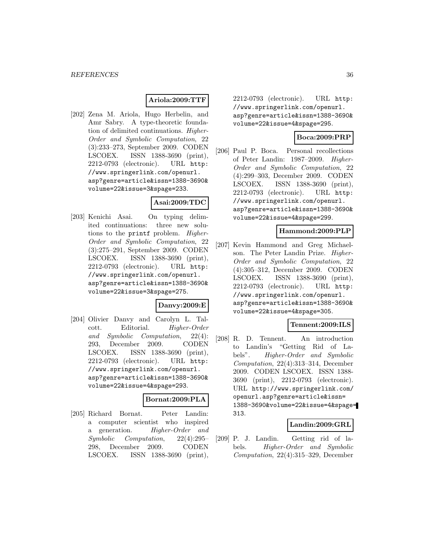#### **Ariola:2009:TTF**

[202] Zena M. Ariola, Hugo Herbelin, and Amr Sabry. A type-theoretic foundation of delimited continuations. Higher-Order and Symbolic Computation, 22 (3):233–273, September 2009. CODEN LSCOEX. ISSN 1388-3690 (print), 2212-0793 (electronic). URL http: //www.springerlink.com/openurl. asp?genre=article&issn=1388-3690& volume=22&issue=3&spage=233.

# **Asai:2009:TDC**

[203] Kenichi Asai. On typing delimited continuations: three new solutions to the printf problem. Higher-Order and Symbolic Computation, 22 (3):275–291, September 2009. CODEN LSCOEX. ISSN 1388-3690 (print), 2212-0793 (electronic). URL http: //www.springerlink.com/openurl. asp?genre=article&issn=1388-3690& volume=22&issue=3&spage=275.

#### **Danvy:2009:E**

[204] Olivier Danvy and Carolyn L. Talcott. Editorial. Higher-Order and Symbolic Computation, 22(4): 293, December 2009. CODEN LSCOEX. ISSN 1388-3690 (print), 2212-0793 (electronic). URL http: //www.springerlink.com/openurl. asp?genre=article&issn=1388-3690& volume=22&issue=4&spage=293.

# **Bornat:2009:PLA**

[205] Richard Bornat. Peter Landin: a computer scientist who inspired a generation. Higher-Order and Symbolic Computation, 22(4):295– 298, December 2009. CODEN LSCOEX. ISSN 1388-3690 (print),

2212-0793 (electronic). URL http: //www.springerlink.com/openurl. asp?genre=article&issn=1388-3690& volume=22&issue=4&spage=295.

# **Boca:2009:PRP**

[206] Paul P. Boca. Personal recollections of Peter Landin: 1987–2009. Higher-Order and Symbolic Computation, 22 (4):299–303, December 2009. CODEN LSCOEX. ISSN 1388-3690 (print), 2212-0793 (electronic). URL http: //www.springerlink.com/openurl. asp?genre=article&issn=1388-3690& volume=22&issue=4&spage=299.

### **Hammond:2009:PLP**

[207] Kevin Hammond and Greg Michaelson. The Peter Landin Prize. Higher-Order and Symbolic Computation, 22 (4):305–312, December 2009. CODEN LSCOEX. ISSN 1388-3690 (print), 2212-0793 (electronic). URL http: //www.springerlink.com/openurl. asp?genre=article&issn=1388-3690& volume=22&issue=4&spage=305.

# **Tennent:2009:ILS**

[208] R. D. Tennent. An introduction to Landin's "Getting Rid of Labels". Higher-Order and Symbolic Computation, 22(4):313–314, December 2009. CODEN LSCOEX. ISSN 1388- 3690 (print), 2212-0793 (electronic). URL http://www.springerlink.com/ openurl.asp?genre=article&issn= 1388-3690&volume=22&issue=4&spage= 313.

### **Landin:2009:GRL**

[209] P. J. Landin. Getting rid of labels. Higher-Order and Symbolic Computation, 22(4):315–329, December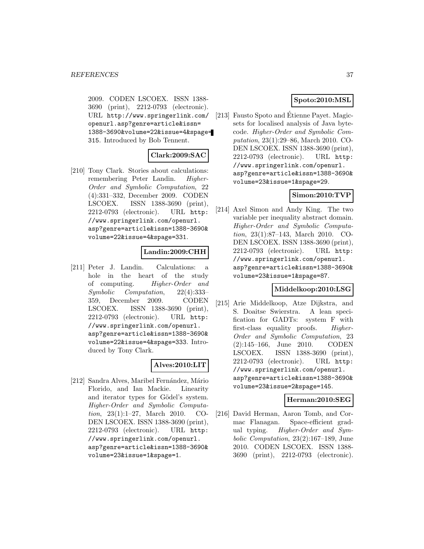2009. CODEN LSCOEX. ISSN 1388- 3690 (print), 2212-0793 (electronic). URL http://www.springerlink.com/ openurl.asp?genre=article&issn= 1388-3690&volume=22&issue=4&spage= 315. Introduced by Bob Tennent.

# **Clark:2009:SAC**

[210] Tony Clark. Stories about calculations: remembering Peter Landin. Higher-Order and Symbolic Computation, 22 (4):331–332, December 2009. CODEN LSCOEX. ISSN 1388-3690 (print), 2212-0793 (electronic). URL http: //www.springerlink.com/openurl. asp?genre=article&issn=1388-3690& volume=22&issue=4&spage=331.

# **Landin:2009:CHH**

[211] Peter J. Landin. Calculations: a hole in the heart of the study of computing. Higher-Order and Symbolic Computation, 22(4):333– 359, December 2009. CODEN LSCOEX. ISSN 1388-3690 (print), 2212-0793 (electronic). URL http: //www.springerlink.com/openurl. asp?genre=article&issn=1388-3690& volume=22&issue=4&spage=333. Introduced by Tony Clark.

# **Alves:2010:LIT**

[212] Sandra Alves, Maribel Fernández, Mário Florido, and Ian Mackie. Linearity and iterator types for Gödel's system. Higher-Order and Symbolic Computation, 23(1):1–27, March 2010. CO-DEN LSCOEX. ISSN 1388-3690 (print), 2212-0793 (electronic). URL http: //www.springerlink.com/openurl. asp?genre=article&issn=1388-3690& volume=23&issue=1&spage=1.

# **Spoto:2010:MSL**

[213] Fausto Spoto and Étienne Payet. Magicsets for localised analysis of Java bytecode. Higher-Order and Symbolic Computation, 23(1):29–86, March 2010. CO-DEN LSCOEX. ISSN 1388-3690 (print), 2212-0793 (electronic). URL http: //www.springerlink.com/openurl. asp?genre=article&issn=1388-3690& volume=23&issue=1&spage=29.

# **Simon:2010:TVP**

[214] Axel Simon and Andy King. The two variable per inequality abstract domain. Higher-Order and Symbolic Computation, 23(1):87–143, March 2010. CO-DEN LSCOEX. ISSN 1388-3690 (print), 2212-0793 (electronic). URL http: //www.springerlink.com/openurl. asp?genre=article&issn=1388-3690& volume=23&issue=1&spage=87.

# **Middelkoop:2010:LSG**

[215] Arie Middelkoop, Atze Dijkstra, and S. Doaitse Swierstra. A lean specification for GADTs: system F with first-class equality proofs. Higher-Order and Symbolic Computation, 23 (2):145–166, June 2010. CODEN LSCOEX. ISSN 1388-3690 (print), 2212-0793 (electronic). URL http: //www.springerlink.com/openurl. asp?genre=article&issn=1388-3690& volume=23&issue=2&spage=145.

# **Herman:2010:SEG**

[216] David Herman, Aaron Tomb, and Cormac Flanagan. Space-efficient gradual typing. Higher-Order and Symbolic Computation, 23(2):167–189, June 2010. CODEN LSCOEX. ISSN 1388- 3690 (print), 2212-0793 (electronic).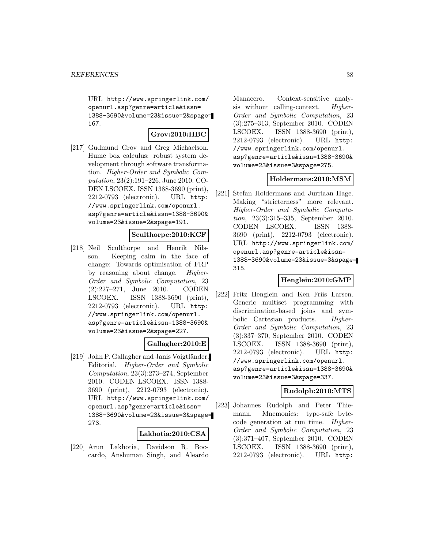URL http://www.springerlink.com/ openurl.asp?genre=article&issn= 1388-3690&volume=23&issue=2&spage= 167.

# **Grov:2010:HBC**

[217] Gudmund Grov and Greg Michaelson. Hume box calculus: robust system development through software transformation. Higher-Order and Symbolic Computation, 23(2):191–226, June 2010. CO-DEN LSCOEX. ISSN 1388-3690 (print), 2212-0793 (electronic). URL http: //www.springerlink.com/openurl. asp?genre=article&issn=1388-3690& volume=23&issue=2&spage=191.

### **Sculthorpe:2010:KCF**

[218] Neil Sculthorpe and Henrik Nilsson. Keeping calm in the face of change: Towards optimisation of FRP by reasoning about change. Higher-Order and Symbolic Computation, 23 (2):227–271, June 2010. CODEN LSCOEX. ISSN 1388-3690 (print), 2212-0793 (electronic). URL http: //www.springerlink.com/openurl. asp?genre=article&issn=1388-3690& volume=23&issue=2&spage=227.

# **Gallagher:2010:E**

[219] John P. Gallagher and Janis Voigtländer. Editorial. Higher-Order and Symbolic Computation, 23(3):273–274, September 2010. CODEN LSCOEX. ISSN 1388- 3690 (print), 2212-0793 (electronic). URL http://www.springerlink.com/ openurl.asp?genre=article&issn= 1388-3690&volume=23&issue=3&spage= 273.

### **Lakhotia:2010:CSA**

[220] Arun Lakhotia, Davidson R. Boccardo, Anshuman Singh, and Aleardo Manacero. Context-sensitive analysis without calling-context. Higher-Order and Symbolic Computation, 23 (3):275–313, September 2010. CODEN LSCOEX. ISSN 1388-3690 (print), 2212-0793 (electronic). URL http: //www.springerlink.com/openurl. asp?genre=article&issn=1388-3690& volume=23&issue=3&spage=275.

# **Holdermans:2010:MSM**

[221] Stefan Holdermans and Jurriaan Hage. Making "stricterness" more relevant. Higher-Order and Symbolic Computation, 23(3):315–335, September 2010. CODEN LSCOEX. ISSN 1388- 3690 (print), 2212-0793 (electronic). URL http://www.springerlink.com/ openurl.asp?genre=article&issn= 1388-3690&volume=23&issue=3&spage= 315.

# **Henglein:2010:GMP**

[222] Fritz Henglein and Ken Friis Larsen. Generic multiset programming with discrimination-based joins and symbolic Cartesian products. Higher-Order and Symbolic Computation, 23 (3):337–370, September 2010. CODEN LSCOEX. ISSN 1388-3690 (print), 2212-0793 (electronic). URL http: //www.springerlink.com/openurl. asp?genre=article&issn=1388-3690& volume=23&issue=3&spage=337.

# **Rudolph:2010:MTS**

[223] Johannes Rudolph and Peter Thiemann. Mnemonics: type-safe bytecode generation at run time. Higher-Order and Symbolic Computation, 23 (3):371–407, September 2010. CODEN LSCOEX. ISSN 1388-3690 (print), 2212-0793 (electronic). URL http: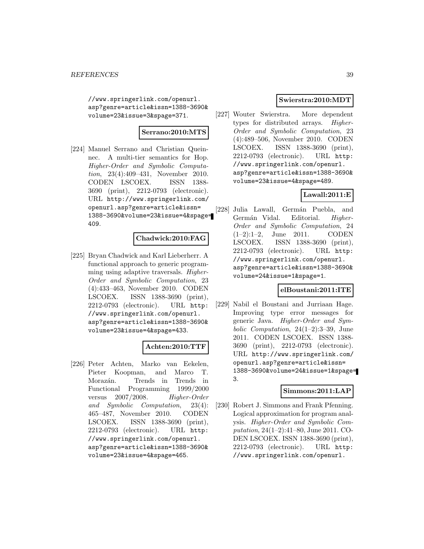//www.springerlink.com/openurl. asp?genre=article&issn=1388-3690& volume=23&issue=3&spage=371.

# **Serrano:2010:MTS**

[224] Manuel Serrano and Christian Queinnec. A multi-tier semantics for Hop. Higher-Order and Symbolic Computation, 23(4):409–431, November 2010. CODEN LSCOEX. ISSN 1388- 3690 (print), 2212-0793 (electronic). URL http://www.springerlink.com/ openurl.asp?genre=article&issn= 1388-3690&volume=23&issue=4&spage= 409.

### **Chadwick:2010:FAG**

[225] Bryan Chadwick and Karl Lieberherr. A functional approach to generic programming using adaptive traversals. Higher-Order and Symbolic Computation, 23 (4):433–463, November 2010. CODEN LSCOEX. ISSN 1388-3690 (print), 2212-0793 (electronic). URL http: //www.springerlink.com/openurl. asp?genre=article&issn=1388-3690& volume=23&issue=4&spage=433.

# **Achten:2010:TTF**

[226] Peter Achten, Marko van Eekelen, Pieter Koopman, and Marco T. Morazán. Trends in Trends in Functional Programming 1999/2000 versus 2007/2008. Higher-Order and Symbolic Computation, 23(4): 465–487, November 2010. CODEN LSCOEX. ISSN 1388-3690 (print), 2212-0793 (electronic). URL http: //www.springerlink.com/openurl. asp?genre=article&issn=1388-3690& volume=23&issue=4&spage=465.

# **Swierstra:2010:MDT**

[227] Wouter Swierstra. More dependent types for distributed arrays. Higher-Order and Symbolic Computation, 23 (4):489–506, November 2010. CODEN LSCOEX. ISSN 1388-3690 (print), 2212-0793 (electronic). URL http: //www.springerlink.com/openurl. asp?genre=article&issn=1388-3690& volume=23&issue=4&spage=489.

# **Lawall:2011:E**

[228] Julia Lawall, Germán Puebla, and Germán Vidal. Editorial. Higher-Order and Symbolic Computation, 24 (1–2):1–2, June 2011. CODEN LSCOEX. ISSN 1388-3690 (print), 2212-0793 (electronic). URL http: //www.springerlink.com/openurl. asp?genre=article&issn=1388-3690& volume=24&issue=1&spage=1.

#### **elBoustani:2011:ITE**

[229] Nabil el Boustani and Jurriaan Hage. Improving type error messages for generic Java. Higher-Order and Symbolic Computation,  $24(1-2)$ :3-39, June 2011. CODEN LSCOEX. ISSN 1388- 3690 (print), 2212-0793 (electronic). URL http://www.springerlink.com/ openurl.asp?genre=article&issn= 1388-3690&volume=24&issue=1&spage= 3.

#### **Simmons:2011:LAP**

[230] Robert J. Simmons and Frank Pfenning. Logical approximation for program analysis. Higher-Order and Symbolic Computation, 24(1–2):41–80, June 2011. CO-DEN LSCOEX. ISSN 1388-3690 (print), 2212-0793 (electronic). URL http: //www.springerlink.com/openurl.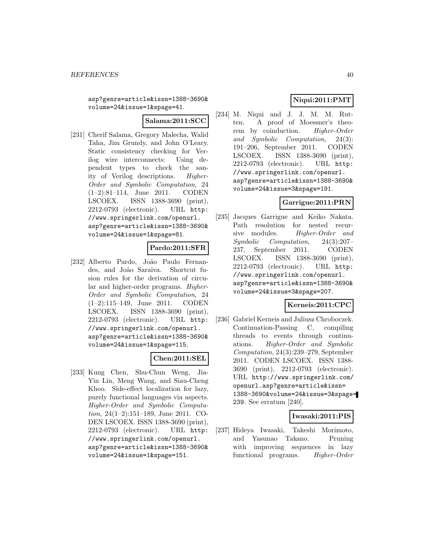asp?genre=article&issn=1388-3690& volume=24&issue=1&spage=41.

**Salama:2011:SCC**

[231] Cherif Salama, Gregory Malecha, Walid Taha, Jim Grundy, and John O'Leary. Static consistency checking for Verilog wire interconnects: Using dependent types to check the sanity of Verilog descriptions. Higher-Order and Symbolic Computation, 24 (1–2):81–114, June 2011. CODEN LSCOEX. ISSN 1388-3690 (print), 2212-0793 (electronic). URL http: //www.springerlink.com/openurl. asp?genre=article&issn=1388-3690& volume=24&issue=1&spage=81.

# **Pardo:2011:SFR**

[232] Alberto Pardo, João Paulo Fernandes, and João Saraiva. Shortcut fusion rules for the derivation of circular and higher-order programs. Higher-Order and Symbolic Computation, 24 (1–2):115–149, June 2011. CODEN LSCOEX. ISSN 1388-3690 (print), 2212-0793 (electronic). URL http: //www.springerlink.com/openurl. asp?genre=article&issn=1388-3690& volume=24&issue=1&spage=115.

# **Chen:2011:SEL**

[233] Kung Chen, Shu-Chun Weng, Jia-Yin Lin, Meng Wang, and Siau-Cheng Khoo. Side-effect localization for lazy, purely functional languages via aspects. Higher-Order and Symbolic Computation, 24(1–2):151–189, June 2011. CO-DEN LSCOEX. ISSN 1388-3690 (print), 2212-0793 (electronic). URL http: //www.springerlink.com/openurl. asp?genre=article&issn=1388-3690& volume=24&issue=1&spage=151.

# **Niqui:2011:PMT**

[234] M. Niqui and J. J. M. M. Rutten. A proof of Moessner's theorem by coinduction. Higher-Order and Symbolic Computation, 24(3): 191–206, September 2011. CODEN LSCOEX. ISSN 1388-3690 (print), 2212-0793 (electronic). URL http: //www.springerlink.com/openurl. asp?genre=article&issn=1388-3690& volume=24&issue=3&spage=191.

# **Garrigue:2011:PRN**

[235] Jacques Garrigue and Keiko Nakata. Path resolution for nested recursive modules. Higher-Order and Symbolic Computation, 24(3):207– 237, September 2011. CODEN LSCOEX. ISSN 1388-3690 (print), 2212-0793 (electronic). URL http: //www.springerlink.com/openurl. asp?genre=article&issn=1388-3690& volume=24&issue=3&spage=207.

# **Kerneis:2011:CPC**

[236] Gabriel Kerneis and Juliusz Chroboczek. Continuation-Passing C, compiling threads to events through continuations. Higher-Order and Symbolic Computation, 24(3):239–279, September 2011. CODEN LSCOEX. ISSN 1388- 3690 (print), 2212-0793 (electronic). URL http://www.springerlink.com/ openurl.asp?genre=article&issn= 1388-3690&volume=24&issue=3&spage= 239. See erratum [240].

**Iwasaki:2011:PIS**

[237] Hideya Iwasaki, Takeshi Morimoto, and Yasunao Takano. Pruning with improving sequences in lazy functional programs. Higher-Order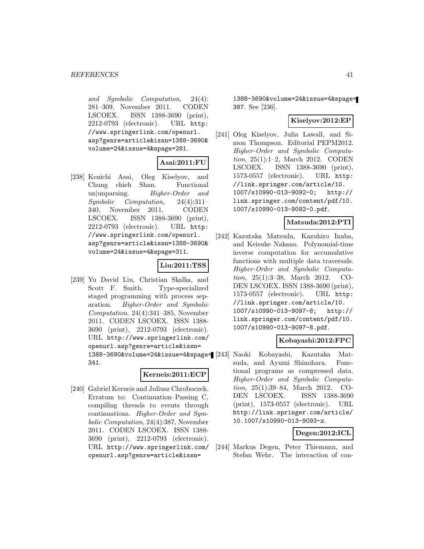and Symbolic Computation, 24(4): 281–309, November 2011. CODEN LSCOEX. ISSN 1388-3690 (print), 2212-0793 (electronic). URL http: //www.springerlink.com/openurl. asp?genre=article&issn=1388-3690& volume=24&issue=4&spage=281.

# **Asai:2011:FU**

[238] Kenichi Asai, Oleg Kiselyov, and Chung chieh Shan. Functional un|unparsing. Higher-Order and<br>Symbolic Computation,  $24(4):311-$ Computation, 340, November 2011. CODEN LSCOEX. ISSN 1388-3690 (print), 2212-0793 (electronic). URL http: //www.springerlink.com/openurl. asp?genre=article&issn=1388-3690& volume=24&issue=4&spage=311.

### **Liu:2011:TSS**

[239] Yu David Liu, Christian Skalka, and Scott F. Smith. Type-specialized staged programming with process separation. Higher-Order and Symbolic Computation, 24(4):341–385, November 2011. CODEN LSCOEX. ISSN 1388- 3690 (print), 2212-0793 (electronic). URL http://www.springerlink.com/ openurl.asp?genre=article&issn= 341.

#### **Kerneis:2011:ECP**

[240] Gabriel Kerneis and Juliusz Chroboczek. Erratum to: Continuation–Passing C, compiling threads to events through continuations. Higher-Order and Symbolic Computation, 24(4):387, November 2011. CODEN LSCOEX. ISSN 1388- 3690 (print), 2212-0793 (electronic). URL http://www.springerlink.com/ openurl.asp?genre=article&issn=

1388-3690&volume=24&issue=4&spage= 387. See [236].

### **Kiselyov:2012:EP**

[241] Oleg Kiselyov, Julia Lawall, and Simon Thompson. Editorial PEPM2012. Higher-Order and Symbolic Computation, 25(1):1–2, March 2012. CODEN LSCOEX. ISSN 1388-3690 (print), 1573-0557 (electronic). URL http: //link.springer.com/article/10. 1007/s10990-013-9092-0; http:// link.springer.com/content/pdf/10. 1007/s10990-013-9092-0.pdf.

#### **Matsuda:2012:PTI**

[242] Kazutaka Matsuda, Kazuhiro Inaba, and Keisuke Nakano. Polynomial-time inverse computation for accumulative functions with multiple data traversals. Higher-Order and Symbolic Computation, 25(1):3–38, March 2012. CO-DEN LSCOEX. ISSN 1388-3690 (print), 1573-0557 (electronic). URL http: //link.springer.com/article/10. 1007/s10990-013-9097-8; http:// link.springer.com/content/pdf/10. 1007/s10990-013-9097-8.pdf.

#### **Kobayashi:2012:FPC**

1388-3690&volume=24&issue=4&spage= [243] Naoki Kobayashi, Kazutaka Matsuda, and Ayumi Shinohara. Functional programs as compressed data. Higher-Order and Symbolic Computation, 25(1):39–84, March 2012. CO-DEN LSCOEX. ISSN 1388-3690 (print), 1573-0557 (electronic). URL http://link.springer.com/article/ 10.1007/s10990-013-9093-z.

#### **Degen:2012:ICL**

[244] Markus Degen, Peter Thiemann, and Stefan Wehr. The interaction of con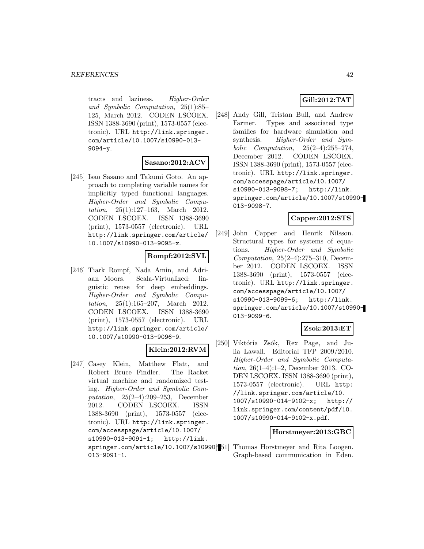tracts and laziness. Higher-Order and Symbolic Computation, 25(1):85– 125, March 2012. CODEN LSCOEX. ISSN 1388-3690 (print), 1573-0557 (electronic). URL http://link.springer. com/article/10.1007/s10990-013- 9094-y.

# **Sasano:2012:ACV**

[245] Isao Sasano and Takumi Goto. An approach to completing variable names for implicitly typed functional languages. Higher-Order and Symbolic Computation, 25(1):127–163, March 2012. CODEN LSCOEX. ISSN 1388-3690 (print), 1573-0557 (electronic). URL http://link.springer.com/article/ 10.1007/s10990-013-9095-x.

# **Rompf:2012:SVL**

[246] Tiark Rompf, Nada Amin, and Adriaan Moors. Scala-Virtualized: linguistic reuse for deep embeddings. Higher-Order and Symbolic Computation, 25(1):165–207, March 2012. CODEN LSCOEX. ISSN 1388-3690 (print), 1573-0557 (electronic). URL http://link.springer.com/article/ 10.1007/s10990-013-9096-9.

# **Klein:2012:RVM**

[247] Casey Klein, Matthew Flatt, and Robert Bruce Findler. The Racket virtual machine and randomized testing. Higher-Order and Symbolic Computation, 25(2–4):209–253, December 2012. CODEN LSCOEX. ISSN 1388-3690 (print), 1573-0557 (electronic). URL http://link.springer. com/accesspage/article/10.1007/ s10990-013-9091-1; http://link. springer.com/article/10.1007/s10990 $[151]$  Thomas Horstmeyer and Rita Loogen. 013-9091-1.

# **Gill:2012:TAT**

[248] Andy Gill, Tristan Bull, and Andrew Farmer. Types and associated type families for hardware simulation and synthesis. Higher-Order and Symbolic Computation,  $25(2-4):255-274$ , December 2012. CODEN LSCOEX. ISSN 1388-3690 (print), 1573-0557 (electronic). URL http://link.springer. com/accesspage/article/10.1007/ s10990-013-9098-7; http://link. springer.com/article/10.1007/s10990- 013-9098-7.

# **Capper:2012:STS**

[249] John Capper and Henrik Nilsson. Structural types for systems of equations. Higher-Order and Symbolic Computation, 25(2–4):275–310, December 2012. CODEN LSCOEX. ISSN 1388-3690 (print), 1573-0557 (electronic). URL http://link.springer. com/accesspage/article/10.1007/ s10990-013-9099-6; http://link. springer.com/article/10.1007/s10990- 013-9099-6.

### **Zsok:2013:ET**

[250] Viktória Zsók, Rex Page, and Julia Lawall. Editorial TFP 2009/2010. Higher-Order and Symbolic Computation, 26(1–4):1–2, December 2013. CO-DEN LSCOEX. ISSN 1388-3690 (print), 1573-0557 (electronic). URL http: //link.springer.com/article/10. 1007/s10990-014-9102-x; http:// link.springer.com/content/pdf/10. 1007/s10990-014-9102-x.pdf.

#### **Horstmeyer:2013:GBC**

Graph-based communication in Eden.